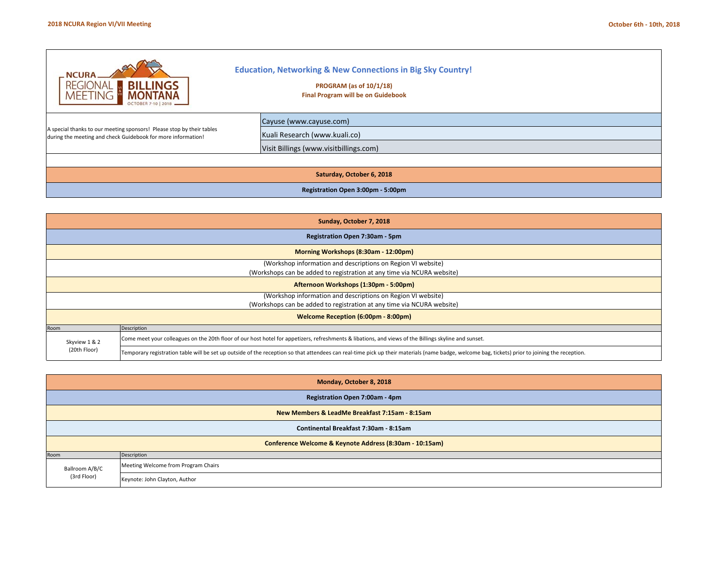| $\_NCURA$<br><b>BILLINGS</b><br><b>REGIONAL</b><br><b>MONTANA</b><br><b>MEETING</b><br><b>OCTOBER 7-10   201</b>                      | <b>Education, Networking &amp; New Connections in Big Sky Country!</b><br>PROGRAM (as of 10/1/18)<br><b>Final Program will be on Guidebook</b> |  |  |  |  |  |
|---------------------------------------------------------------------------------------------------------------------------------------|------------------------------------------------------------------------------------------------------------------------------------------------|--|--|--|--|--|
| A special thanks to our meeting sponsors! Please stop by their tables<br>during the meeting and check Guidebook for more information! | Cayuse (www.cayuse.com)<br>Kuali Research (www.kuali.co)<br>Visit Billings (www.visitbillings.com)                                             |  |  |  |  |  |
|                                                                                                                                       |                                                                                                                                                |  |  |  |  |  |
| Saturday, October 6, 2018                                                                                                             |                                                                                                                                                |  |  |  |  |  |
|                                                                                                                                       | Registration Open 3:00pm - 5:00pm                                                                                                              |  |  |  |  |  |

|               | Sunday, October 7, 2018                                                                                                                                                                         |  |  |  |  |  |  |  |
|---------------|-------------------------------------------------------------------------------------------------------------------------------------------------------------------------------------------------|--|--|--|--|--|--|--|
|               | Registration Open 7:30am - 5pm                                                                                                                                                                  |  |  |  |  |  |  |  |
|               | Morning Workshops (8:30am - 12:00pm)                                                                                                                                                            |  |  |  |  |  |  |  |
|               | (Workshop information and descriptions on Region VI website)                                                                                                                                    |  |  |  |  |  |  |  |
|               | (Workshops can be added to registration at any time via NCURA website)                                                                                                                          |  |  |  |  |  |  |  |
|               | Afternoon Workshops (1:30pm - 5:00pm)                                                                                                                                                           |  |  |  |  |  |  |  |
|               | (Workshop information and descriptions on Region VI website)                                                                                                                                    |  |  |  |  |  |  |  |
|               | (Workshops can be added to registration at any time via NCURA website)                                                                                                                          |  |  |  |  |  |  |  |
|               | Welcome Reception (6:00pm - 8:00pm)                                                                                                                                                             |  |  |  |  |  |  |  |
| Room          | Description                                                                                                                                                                                     |  |  |  |  |  |  |  |
| Skyview 1 & 2 | Come meet your colleagues on the 20th floor of our host hotel for appetizers, refreshments & libations, and views of the Billings skyline and sunset.                                           |  |  |  |  |  |  |  |
| (20th Floor)  | Temporary registration table will be set up outside of the reception so that attendees can real-time pick up their materials (name badge, welcome bag, tickets) prior to joining the reception. |  |  |  |  |  |  |  |

|                                                | Monday, October 8, 2018                                 |  |  |  |  |  |  |  |  |
|------------------------------------------------|---------------------------------------------------------|--|--|--|--|--|--|--|--|
| Registration Open 7:00am - 4pm                 |                                                         |  |  |  |  |  |  |  |  |
| New Members & LeadMe Breakfast 7:15am - 8:15am |                                                         |  |  |  |  |  |  |  |  |
|                                                | Continental Breakfast 7:30am - 8:15am                   |  |  |  |  |  |  |  |  |
|                                                | Conference Welcome & Keynote Address (8:30am - 10:15am) |  |  |  |  |  |  |  |  |
| Room                                           | Description                                             |  |  |  |  |  |  |  |  |
| Ballroom A/B/C<br>(3rd Floor)                  | Meeting Welcome from Program Chairs                     |  |  |  |  |  |  |  |  |
|                                                | Keynote: John Clayton, Author                           |  |  |  |  |  |  |  |  |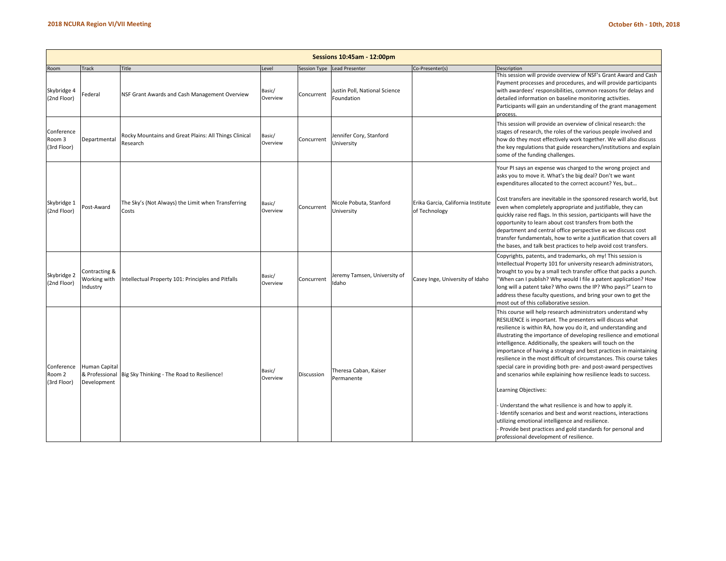|                                     | Sessions 10:45am - 12:00pm                            |                                                                   |                    |              |                                             |                                                     |                                                                                                                                                                                                                                                                                                                                                                                                                                                                                                                                                                                                                                                                                                                                                                                                                                                                                                                                   |  |  |  |  |
|-------------------------------------|-------------------------------------------------------|-------------------------------------------------------------------|--------------------|--------------|---------------------------------------------|-----------------------------------------------------|-----------------------------------------------------------------------------------------------------------------------------------------------------------------------------------------------------------------------------------------------------------------------------------------------------------------------------------------------------------------------------------------------------------------------------------------------------------------------------------------------------------------------------------------------------------------------------------------------------------------------------------------------------------------------------------------------------------------------------------------------------------------------------------------------------------------------------------------------------------------------------------------------------------------------------------|--|--|--|--|
| Room                                | Track                                                 | Title                                                             | Level              | Session Type | <b>Lead Presenter</b>                       | Co-Presenter(s)                                     | Description                                                                                                                                                                                                                                                                                                                                                                                                                                                                                                                                                                                                                                                                                                                                                                                                                                                                                                                       |  |  |  |  |
| Skybridge 4<br>(2nd Floor)          | Federal                                               | NSF Grant Awards and Cash Management Overview                     | Basic/<br>Overview | Concurrent   | Justin Poll, National Science<br>Foundation |                                                     | This session will provide overview of NSF's Grant Award and Cash<br>Payment processes and procedures, and will provide participants<br>with awardees' responsibilities, common reasons for delays and<br>detailed information on baseline monitoring activities.<br>Participants will gain an understanding of the grant management<br>process.                                                                                                                                                                                                                                                                                                                                                                                                                                                                                                                                                                                   |  |  |  |  |
| Conference<br>Room 3<br>(3rd Floor) | Departmental                                          | Rocky Mountains and Great Plains: All Things Clinical<br>Research | Basic/<br>Overview | Concurrent   | Jennifer Cory, Stanford<br>University       |                                                     | This session will provide an overview of clinical research: the<br>stages of research, the roles of the various people involved and<br>how do they most effectively work together. We will also discuss<br>the key regulations that guide researchers/institutions and explain<br>some of the funding challenges.                                                                                                                                                                                                                                                                                                                                                                                                                                                                                                                                                                                                                 |  |  |  |  |
| Skybridge 1<br>(2nd Floor)          | Post-Award                                            | The Sky's (Not Always) the Limit when Transferring<br>Costs       | Basic/<br>Overview | Concurrent   | Nicole Pobuta, Stanford<br>University       | Erika Garcia, California Institute<br>of Technology | Your PI says an expense was charged to the wrong project and<br>asks you to move it. What's the big deal? Don't we want<br>expenditures allocated to the correct account? Yes, but<br>Cost transfers are inevitable in the sponsored research world, but<br>even when completely appropriate and justifiable, they can<br>quickly raise red flags. In this session, participants will have the<br>opportunity to learn about cost transfers from both the<br>department and central office perspective as we discuss cost<br>transfer fundamentals, how to write a justification that covers all<br>the bases, and talk best practices to help avoid cost transfers.                                                                                                                                                                                                                                                              |  |  |  |  |
| Skybridge 2<br>(2nd Floor)          | Contracting &<br>Working with<br>ndustry              | ntellectual Property 101: Principles and Pitfalls                 | Basic/<br>Overview | Concurrent   | Jeremy Tamsen, University of<br>Idaho       | Casey Inge, University of Idaho                     | Copyrights, patents, and trademarks, oh my! This session is<br>Intellectual Property 101 for university research administrators,<br>brought to you by a small tech transfer office that packs a punch.<br>"When can I publish? Why would I file a patent application? How<br>long will a patent take? Who owns the IP? Who pays?" Learn to<br>address these faculty questions, and bring your own to get the<br>most out of this collaborative session.                                                                                                                                                                                                                                                                                                                                                                                                                                                                           |  |  |  |  |
| Conference<br>Room 2<br>(3rd Floor) | <b>Human Capital</b><br>& Professional<br>Development | Big Sky Thinking - The Road to Resilience!                        | Basic/<br>Overview | Discussion   | Theresa Caban, Kaiser<br>Permanente         |                                                     | This course will help research administrators understand why<br>RESILIENCE is important. The presenters will discuss what<br>resilience is within RA, how you do it, and understanding and<br>illustrating the importance of developing resilience and emotional<br>intelligence. Additionally, the speakers will touch on the<br>importance of having a strategy and best practices in maintaining<br>resilience in the most difficult of circumstances. This course takes<br>special care in providing both pre- and post-award perspectives<br>and scenarios while explaining how resilience leads to success.<br>Learning Objectives:<br>Understand the what resilience is and how to apply it.<br>Identify scenarios and best and worst reactions, interactions<br>utilizing emotional intelligence and resilience.<br>Provide best practices and gold standards for personal and<br>professional development of resilience. |  |  |  |  |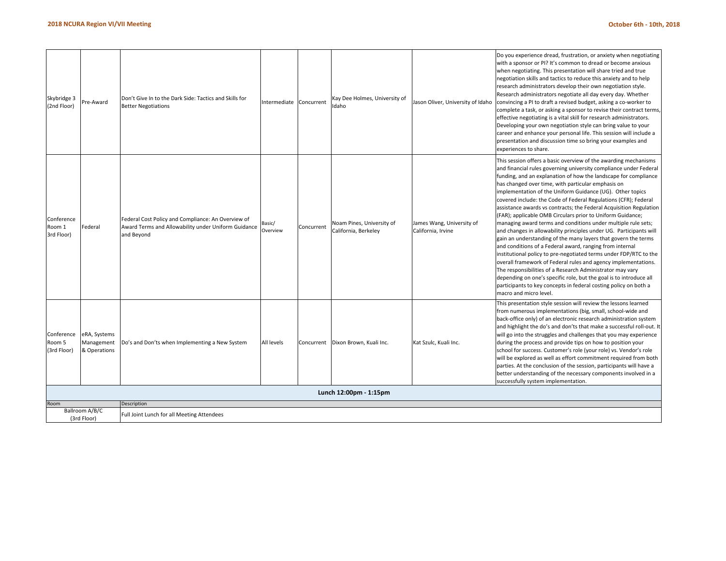| Skybridge 3<br>(2nd Floor)          | re-Award                                   | Don't Give In to the Dark Side: Tactics and Skills for<br><b>Better Negotiations</b>                                    | ntermediate Concurrent |            | Kay Dee Holmes, University of<br>Idaho            | Jason Oliver, University of Idaho               | Do you experience dread, frustration, or anxiety when negotiating<br>with a sponsor or PI? It's common to dread or become anxious<br>when negotiating. This presentation will share tried and true<br>negotiation skills and tactics to reduce this anxiety and to help<br>research administrators develop their own negotiation style.<br>Research administrators negotiate all day every day. Whether<br>convincing a PI to draft a revised budget, asking a co-worker to<br>complete a task, or asking a sponsor to revise their contract terms,<br>effective negotiating is a vital skill for research administrators.<br>Developing your own negotiation style can bring value to your<br>career and enhance your personal life. This session will include a<br>presentation and discussion time so bring your examples and<br>experiences to share.                                                                                                                                                                                                                                                                                                                      |
|-------------------------------------|--------------------------------------------|-------------------------------------------------------------------------------------------------------------------------|------------------------|------------|---------------------------------------------------|-------------------------------------------------|--------------------------------------------------------------------------------------------------------------------------------------------------------------------------------------------------------------------------------------------------------------------------------------------------------------------------------------------------------------------------------------------------------------------------------------------------------------------------------------------------------------------------------------------------------------------------------------------------------------------------------------------------------------------------------------------------------------------------------------------------------------------------------------------------------------------------------------------------------------------------------------------------------------------------------------------------------------------------------------------------------------------------------------------------------------------------------------------------------------------------------------------------------------------------------|
| Conference<br>Room 1<br>3rd Floor)  | Federal                                    | Federal Cost Policy and Compliance: An Overview of<br>Award Terms and Allowability under Uniform Guidance<br>and Beyond | 3asic/<br>Overview     | Concurrent | Noam Pines, University of<br>California, Berkeley | James Wang, University of<br>California, Irvine | This session offers a basic overview of the awarding mechanisms<br>and financial rules governing university compliance under Federal<br>funding, and an explanation of how the landscape for compliance<br>has changed over time, with particular emphasis on<br>implementation of the Uniform Guidance (UG). Other topics<br>covered include: the Code of Federal Regulations (CFR); Federal<br>assistance awards vs contracts; the Federal Acquisition Regulation<br>(FAR); applicable OMB Circulars prior to Uniform Guidance;<br>managing award terms and conditions under multiple rule sets;<br>and changes in allowability principles under UG. Participants will<br>gain an understanding of the many layers that govern the terms<br>and conditions of a Federal award, ranging from internal<br>institutional policy to pre-negotiated terms under FDP/RTC to the<br>overall framework of Federal rules and agency implementations.<br>The responsibilities of a Research Administrator may vary<br>depending on one's specific role, but the goal is to introduce all<br>participants to key concepts in federal costing policy on both a<br>macro and micro level. |
| Conference<br>Room 5<br>(3rd Floor) | eRA, Systems<br>Management<br>& Operations | Do's and Don'ts when Implementing a New System                                                                          | All levels             | Concurrent | Dixon Brown, Kuali Inc.                           | Kat Szulc, Kuali Inc.                           | This presentation style session will review the lessons learned<br>from numerous implementations (big, small, school-wide and<br>back-office only) of an electronic research administration system<br>and highlight the do's and don'ts that make a successful roll-out. It<br>will go into the struggles and challenges that you may experience<br>during the process and provide tips on how to position your<br>school for success. Customer's role (your role) vs. Vendor's role<br>will be explored as well as effort commitment required from both<br>parties. At the conclusion of the session, participants will have a<br>better understanding of the necessary components involved in a<br>successfully system implementation.                                                                                                                                                                                                                                                                                                                                                                                                                                       |
|                                     |                                            |                                                                                                                         |                        |            | Lunch 12:00pm - 1:15pm                            |                                                 |                                                                                                                                                                                                                                                                                                                                                                                                                                                                                                                                                                                                                                                                                                                                                                                                                                                                                                                                                                                                                                                                                                                                                                                |
| Room                                |                                            | Description                                                                                                             |                        |            |                                                   |                                                 |                                                                                                                                                                                                                                                                                                                                                                                                                                                                                                                                                                                                                                                                                                                                                                                                                                                                                                                                                                                                                                                                                                                                                                                |
|                                     | Ballroom A/B/C<br>(3rd Floor)              | Full Joint Lunch for all Meeting Attendees                                                                              |                        |            |                                                   |                                                 |                                                                                                                                                                                                                                                                                                                                                                                                                                                                                                                                                                                                                                                                                                                                                                                                                                                                                                                                                                                                                                                                                                                                                                                |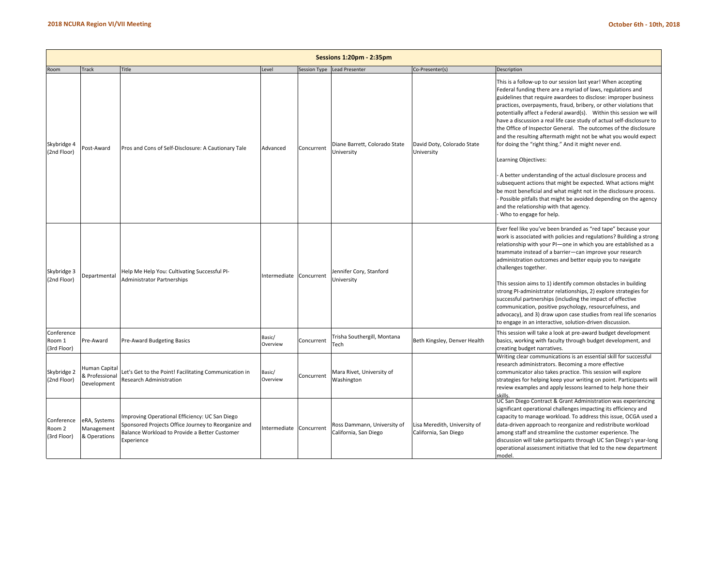|                                     | <b>Sessions 1:20pm - 2:35pm</b>                |                                                                                                                                                                     |                         |              |                                                      |                                                       |                                                                                                                                                                                                                                                                                                                                                                                                                                                                                                                                                                                                                                                                                                                                                        |  |  |  |  |
|-------------------------------------|------------------------------------------------|---------------------------------------------------------------------------------------------------------------------------------------------------------------------|-------------------------|--------------|------------------------------------------------------|-------------------------------------------------------|--------------------------------------------------------------------------------------------------------------------------------------------------------------------------------------------------------------------------------------------------------------------------------------------------------------------------------------------------------------------------------------------------------------------------------------------------------------------------------------------------------------------------------------------------------------------------------------------------------------------------------------------------------------------------------------------------------------------------------------------------------|--|--|--|--|
| Room                                | <b>Track</b>                                   | Title                                                                                                                                                               | Level                   | Session Type | <b>Lead Presenter</b>                                | Co-Presenter(s)                                       | Description                                                                                                                                                                                                                                                                                                                                                                                                                                                                                                                                                                                                                                                                                                                                            |  |  |  |  |
| Skybridge 4<br>(2nd Floor)          | Post-Award                                     | Pros and Cons of Self-Disclosure: A Cautionary Tale                                                                                                                 | Advanced                | Concurrent   | Diane Barrett, Colorado State<br>University          | David Doty, Colorado State<br>University              | This is a follow-up to our session last year! When accepting<br>Federal funding there are a myriad of laws, regulations and<br>guidelines that require awardees to disclose: improper business<br>practices, overpayments, fraud, bribery, or other violations that<br>potentially affect a Federal award(s). Within this session we will<br>have a discussion a real life case study of actual self-disclosure to<br>the Office of Inspector General. The outcomes of the disclosure<br>and the resulting aftermath might not be what you would expect<br>for doing the "right thing." And it might never end.<br>Learning Objectives:                                                                                                                |  |  |  |  |
|                                     |                                                |                                                                                                                                                                     |                         |              |                                                      |                                                       | A better understanding of the actual disclosure process and<br>subsequent actions that might be expected. What actions might<br>be most beneficial and what might not in the disclosure process.<br>Possible pitfalls that might be avoided depending on the agency<br>and the relationship with that agency.<br>Who to engage for help.                                                                                                                                                                                                                                                                                                                                                                                                               |  |  |  |  |
| Skybridge 3<br>(2nd Floor)          | Departmental                                   | Help Me Help You: Cultivating Successful PI-<br><b>Administrator Partnerships</b>                                                                                   | Intermediate Concurrent |              | Jennifer Cory, Stanford<br>University                |                                                       | Ever feel like you've been branded as "red tape" because your<br>work is associated with policies and regulations? Building a strong<br>relationship with your PI-one in which you are established as a<br>teammate instead of a barrier-can improve your research<br>administration outcomes and better equip you to navigate<br>challenges together.<br>This session aims to 1) identify common obstacles in building<br>strong PI-administrator relationships, 2) explore strategies for<br>successful partnerships (including the impact of effective<br>communication, positive psychology, resourcefulness, and<br>advocacy), and 3) draw upon case studies from real life scenarios<br>to engage in an interactive, solution-driven discussion. |  |  |  |  |
| Conference<br>Room 1<br>(3rd Floor) | Pre-Award                                      | Pre-Award Budgeting Basics                                                                                                                                          | Basic/<br>Overview      | Concurrent   | Trisha Southergill, Montana<br>Tech                  | Beth Kingsley, Denver Health                          | This session will take a look at pre-award budget development<br>basics, working with faculty through budget development, and<br>creating budget narratives.                                                                                                                                                                                                                                                                                                                                                                                                                                                                                                                                                                                           |  |  |  |  |
| Skybridge 2<br>(2nd Floor)          | Human Capital<br>& Professional<br>Development | et's Get to the Point! Facilitating Communication in<br>Research Administration                                                                                     | Basic/<br>Overview      | Concurrent   | Mara Rivet, University of<br>Washington              |                                                       | Writing clear communications is an essential skill for successful<br>research administrators. Becoming a more effective<br>communicator also takes practice. This session will explore<br>strategies for helping keep your writing on point. Participants will<br>review examples and apply lessons learned to help hone their<br>skills.                                                                                                                                                                                                                                                                                                                                                                                                              |  |  |  |  |
| Conference<br>Room 2<br>(3rd Floor) | eRA, Systems<br>Management<br>& Operations     | mproving Operational Efficiency: UC San Diego<br>Sponsored Projects Office Journey to Reorganize and<br>Balance Workload to Provide a Better Customer<br>Experience | Intermediate            | Concurrent   | Ross Dammann, University of<br>California, San Diego | Lisa Meredith, University of<br>California, San Diego | UC San Diego Contract & Grant Administration was experiencing<br>significant operational challenges impacting its efficiency and<br>capacity to manage workload. To address this issue, OCGA used a<br>data-driven approach to reorganize and redistribute workload<br>among staff and streamline the customer experience. The<br>discussion will take participants through UC San Diego's year-long<br>operational assessment initiative that led to the new department<br>model.                                                                                                                                                                                                                                                                     |  |  |  |  |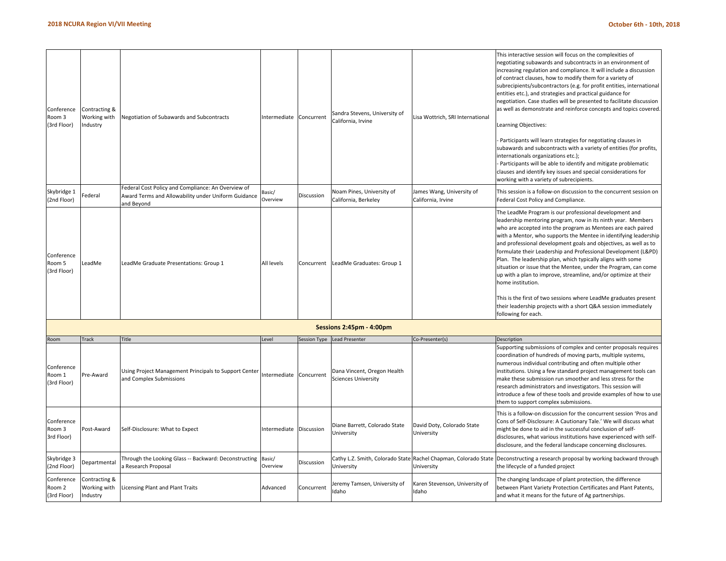| Conference<br>Room 3<br>(3rd Floor)<br>Skybridge 1<br>(2nd Floor)<br>Conference<br>Room 5<br>(3rd Floor) | Contracting &<br>Working with<br>Industry<br>ederal<br>LeadMe | Negotiation of Subawards and Subcontracts<br>Federal Cost Policy and Compliance: An Overview of<br>Award Terms and Allowability under Uniform Guidance<br>and Beyond<br>LeadMe Graduate Presentations: Group 1 | Intermediate<br>asic/<br>Overview<br>All levels | Concurrent<br>Discussion<br>Concurrent | Sandra Stevens, University of<br>California, Irvine<br>Noam Pines, University of<br>California, Berkeley<br>LeadMe Graduates: Group 1 | Lisa Wottrich, SRI International<br>lames Wang, University of<br>California, Irvine | This interactive session will focus on the complexities of<br>negotiating subawards and subcontracts in an environment of<br>increasing regulation and compliance. It will include a discussion<br>of contract clauses, how to modify them for a variety of<br>subrecipients/subcontractors (e.g. for profit entities, international<br>entities etc.), and strategies and practical guidance for<br>negotiation. Case studies will be presented to facilitate discussion<br>as well as demonstrate and reinforce concepts and topics covered.<br>Learning Objectives:<br>Participants will learn strategies for negotiating clauses in<br>subawards and subcontracts with a variety of entities (for profits,<br>internationals organizations etc.);<br>Participants will be able to identify and mitigate problematic<br>clauses and identify key issues and special considerations for<br>working with a variety of subrecipients.<br>This session is a follow-on discussion to the concurrent session on<br>Federal Cost Policy and Compliance.<br>The LeadMe Program is our professional development and<br>leadership mentoring program, now in its ninth year. Members<br>who are accepted into the program as Mentees are each paired<br>with a Mentor, who supports the Mentee in identifying leadership<br>and professional development goals and objectives, as well as to<br>formulate their Leadership and Professional Development (L&PD)<br>Plan. The leadership plan, which typically aligns with some<br>situation or issue that the Mentee, under the Program, can come<br>up with a plan to improve, streamline, and/or optimize at their<br>home institution.<br>This is the first of two sessions where LeadMe graduates present<br>their leadership projects with a short Q&A session immediately |
|----------------------------------------------------------------------------------------------------------|---------------------------------------------------------------|----------------------------------------------------------------------------------------------------------------------------------------------------------------------------------------------------------------|-------------------------------------------------|----------------------------------------|---------------------------------------------------------------------------------------------------------------------------------------|-------------------------------------------------------------------------------------|-------------------------------------------------------------------------------------------------------------------------------------------------------------------------------------------------------------------------------------------------------------------------------------------------------------------------------------------------------------------------------------------------------------------------------------------------------------------------------------------------------------------------------------------------------------------------------------------------------------------------------------------------------------------------------------------------------------------------------------------------------------------------------------------------------------------------------------------------------------------------------------------------------------------------------------------------------------------------------------------------------------------------------------------------------------------------------------------------------------------------------------------------------------------------------------------------------------------------------------------------------------------------------------------------------------------------------------------------------------------------------------------------------------------------------------------------------------------------------------------------------------------------------------------------------------------------------------------------------------------------------------------------------------------------------------------------------------------------------------------------------------------------------------------------------------------------|
|                                                                                                          |                                                               |                                                                                                                                                                                                                |                                                 |                                        |                                                                                                                                       |                                                                                     | following for each.                                                                                                                                                                                                                                                                                                                                                                                                                                                                                                                                                                                                                                                                                                                                                                                                                                                                                                                                                                                                                                                                                                                                                                                                                                                                                                                                                                                                                                                                                                                                                                                                                                                                                                                                                                                                     |
|                                                                                                          |                                                               |                                                                                                                                                                                                                |                                                 |                                        | Sessions 2:45pm - 4:00pm                                                                                                              |                                                                                     |                                                                                                                                                                                                                                                                                                                                                                                                                                                                                                                                                                                                                                                                                                                                                                                                                                                                                                                                                                                                                                                                                                                                                                                                                                                                                                                                                                                                                                                                                                                                                                                                                                                                                                                                                                                                                         |
| Room                                                                                                     | rack                                                          | Title                                                                                                                                                                                                          | Level                                           |                                        | Session Type Lead Presenter                                                                                                           | Co-Presenter(s)                                                                     | Description                                                                                                                                                                                                                                                                                                                                                                                                                                                                                                                                                                                                                                                                                                                                                                                                                                                                                                                                                                                                                                                                                                                                                                                                                                                                                                                                                                                                                                                                                                                                                                                                                                                                                                                                                                                                             |
| Conference<br>Room 1<br>(3rd Floor)                                                                      | Pre-Award                                                     | Using Project Management Principals to Support Center<br>and Complex Submissions                                                                                                                               | ntermediate                                     | Concurrent                             | Dana Vincent, Oregon Health<br><b>Sciences University</b>                                                                             |                                                                                     | Supporting submissions of complex and center proposals requires<br>coordination of hundreds of moving parts, multiple systems,<br>numerous individual contributing and often multiple other<br>institutions. Using a few standard project management tools can<br>make these submission run smoother and less stress for the<br>research administrators and investigators. This session will<br>introduce a few of these tools and provide examples of how to use<br>them to support complex submissions.                                                                                                                                                                                                                                                                                                                                                                                                                                                                                                                                                                                                                                                                                                                                                                                                                                                                                                                                                                                                                                                                                                                                                                                                                                                                                                               |
| Conference<br>Room 3<br>3rd Floor)                                                                       | Post-Award                                                    | Self-Disclosure: What to Expect                                                                                                                                                                                | ntermediate                                     | Discussion                             | Diane Barrett, Colorado State<br>University                                                                                           | David Doty, Colorado State<br>University                                            | This is a follow-on discussion for the concurrent session 'Pros and<br>Cons of Self-Disclosure: A Cautionary Tale.' We will discuss what<br>might be done to aid in the successful conclusion of self-<br>disclosures, what various institutions have experienced with self-<br>disclosure, and the federal landscape concerning disclosures.                                                                                                                                                                                                                                                                                                                                                                                                                                                                                                                                                                                                                                                                                                                                                                                                                                                                                                                                                                                                                                                                                                                                                                                                                                                                                                                                                                                                                                                                           |
| Skybridge 3<br>(2nd Floor)                                                                               | Departmental                                                  | Through the Looking Glass -- Backward: Deconstructing<br>Research Proposal                                                                                                                                     | Basic/<br>Overview                              | Discussion                             | Cathy L.Z. Smith, Colorado State<br>University                                                                                        | Rachel Chapman, Colorado State<br>University                                        | Deconstructing a research proposal by working backward through<br>the lifecycle of a funded project                                                                                                                                                                                                                                                                                                                                                                                                                                                                                                                                                                                                                                                                                                                                                                                                                                                                                                                                                                                                                                                                                                                                                                                                                                                                                                                                                                                                                                                                                                                                                                                                                                                                                                                     |
| Conference<br>Room 2<br>(3rd Floor)                                                                      | Contracting &<br>Working with<br>Industry                     | Licensing Plant and Plant Traits                                                                                                                                                                               | Advanced                                        | Concurrent                             | Jeremy Tamsen, University of<br>Idaho                                                                                                 | Karen Stevenson, University of<br>Idaho                                             | The changing landscape of plant protection, the difference<br>between Plant Variety Protection Certificates and Plant Patents,<br>and what it means for the future of Ag partnerships.                                                                                                                                                                                                                                                                                                                                                                                                                                                                                                                                                                                                                                                                                                                                                                                                                                                                                                                                                                                                                                                                                                                                                                                                                                                                                                                                                                                                                                                                                                                                                                                                                                  |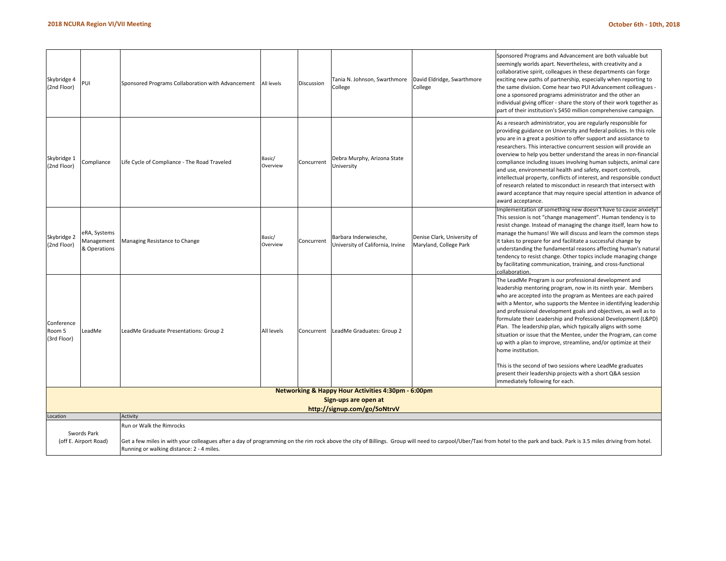| Skybridge 4<br>(2nd Floor)                                                                                                                                                                                                                                                                                                                  | PUI                                        | Sponsored Programs Collaboration with Advancement | All levels         | Discussion | Tania N. Johnson, Swarthmore<br>College                                               | David Eldridge, Swarthmore<br>College                 | Sponsored Programs and Advancement are both valuable but<br>seemingly worlds apart. Nevertheless, with creativity and a<br>collaborative spirit, colleagues in these departments can forge<br>exciting new paths of partnership, especially when reporting to<br>the same division. Come hear two PUI Advancement colleagues -<br>one a sponsored programs administrator and the other an<br>individual giving officer - share the story of their work together as<br>part of their institution's \$450 million comprehensive campaign.                                                                                                                                                                                                                                                  |
|---------------------------------------------------------------------------------------------------------------------------------------------------------------------------------------------------------------------------------------------------------------------------------------------------------------------------------------------|--------------------------------------------|---------------------------------------------------|--------------------|------------|---------------------------------------------------------------------------------------|-------------------------------------------------------|------------------------------------------------------------------------------------------------------------------------------------------------------------------------------------------------------------------------------------------------------------------------------------------------------------------------------------------------------------------------------------------------------------------------------------------------------------------------------------------------------------------------------------------------------------------------------------------------------------------------------------------------------------------------------------------------------------------------------------------------------------------------------------------|
| Skybridge 1<br>(2nd Floor)                                                                                                                                                                                                                                                                                                                  | Compliance                                 | Life Cycle of Compliance - The Road Traveled      | Basic/<br>Overview | Concurrent | Debra Murphy, Arizona State<br>University                                             |                                                       | As a research administrator, you are regularly responsible for<br>providing guidance on University and federal policies. In this role<br>you are in a great a position to offer support and assistance to<br>researchers. This interactive concurrent session will provide an<br>overview to help you better understand the areas in non-financial<br>compliance including issues involving human subjects, animal care<br>and use, environmental health and safety, export controls,<br>intellectual property, conflicts of interest, and responsible conduct<br>of research related to misconduct in research that intersect with<br>award acceptance that may require special attention in advance of<br>award acceptance.                                                            |
| Skybridge 2<br>(2nd Floor)                                                                                                                                                                                                                                                                                                                  | eRA, Systems<br>Management<br>& Operations | Managing Resistance to Change                     | Basic/<br>Overview | Concurrent | Barbara Inderwiesche,<br>University of California, Irvine                             | Denise Clark, University of<br>Maryland, College Park | Implementation of something new doesn't have to cause anxiety!<br>This session is not "change management". Human tendency is to<br>resist change. Instead of managing the change itself, learn how to<br>manage the humans! We will discuss and learn the common steps<br>it takes to prepare for and facilitate a successful change by<br>understanding the fundamental reasons affecting human's natural<br>tendency to resist change. Other topics include managing change<br>by facilitating communication, training, and cross-functional<br>collaboration.                                                                                                                                                                                                                         |
| Conference<br>Room 5<br>(3rd Floor)                                                                                                                                                                                                                                                                                                         | LeadMe                                     | LeadMe Graduate Presentations: Group 2            | All levels         | Concurrent | LeadMe Graduates: Group 2                                                             |                                                       | The LeadMe Program is our professional development and<br>leadership mentoring program, now in its ninth year. Members<br>who are accepted into the program as Mentees are each paired<br>with a Mentor, who supports the Mentee in identifying leadership<br>and professional development goals and objectives, as well as to<br>formulate their Leadership and Professional Development (L&PD)<br>Plan. The leadership plan, which typically aligns with some<br>situation or issue that the Mentee, under the Program, can come<br>up with a plan to improve, streamline, and/or optimize at their<br>home institution.<br>This is the second of two sessions where LeadMe graduates<br>present their leadership projects with a short Q&A session<br>immediately following for each. |
|                                                                                                                                                                                                                                                                                                                                             |                                            |                                                   |                    |            | <b>Networking &amp; Happy Hour Activities 4:30pm - 6:00pm</b><br>Sign-ups are open at |                                                       |                                                                                                                                                                                                                                                                                                                                                                                                                                                                                                                                                                                                                                                                                                                                                                                          |
|                                                                                                                                                                                                                                                                                                                                             |                                            |                                                   |                    |            | http://signup.com/go/SoNtrvV                                                          |                                                       |                                                                                                                                                                                                                                                                                                                                                                                                                                                                                                                                                                                                                                                                                                                                                                                          |
| Location                                                                                                                                                                                                                                                                                                                                    |                                            | Activity                                          |                    |            |                                                                                       |                                                       |                                                                                                                                                                                                                                                                                                                                                                                                                                                                                                                                                                                                                                                                                                                                                                                          |
| Run or Walk the Rimrocks<br>Swords Park<br>Get a few miles in with your colleagues after a day of programming on the rim rock above the city of Billings. Group will need to carpool/Uber/Taxi from hotel to the park and back. Park is 3.5 miles driving from hotel.<br>(off E. Airport Road)<br>Running or walking distance: 2 - 4 miles. |                                            |                                                   |                    |            |                                                                                       |                                                       |                                                                                                                                                                                                                                                                                                                                                                                                                                                                                                                                                                                                                                                                                                                                                                                          |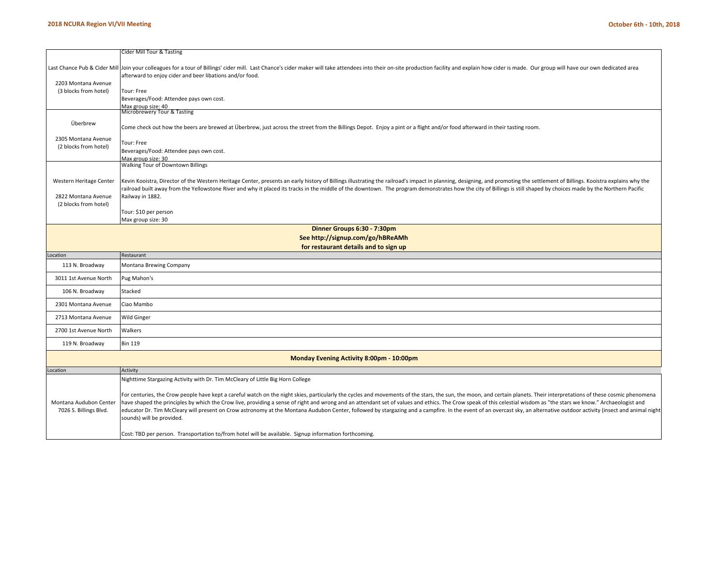|                         | Cider Mill Tour & Tasting                                                                                                                                                                                                     |
|-------------------------|-------------------------------------------------------------------------------------------------------------------------------------------------------------------------------------------------------------------------------|
|                         | Last Chance Pub & Cider Mill Join your colleagues for a tour of Billings' cider mill. Last Chance's cider maker will take attendees into their on-site production facility and explain how cider is made. Our group will have |
|                         | afterward to enjoy cider and beer libations and/or food.                                                                                                                                                                      |
| 2203 Montana Avenue     |                                                                                                                                                                                                                               |
| (3 blocks from hotel)   | Tour: Free                                                                                                                                                                                                                    |
|                         | Beverages/Food: Attendee pays own cost.                                                                                                                                                                                       |
|                         | Max group size: 40<br>Microbrewery Tour & Tasting                                                                                                                                                                             |
| Überbrew                |                                                                                                                                                                                                                               |
|                         | Come check out how the beers are brewed at Überbrew, just across the street from the Billings Depot. Enjoy a pint or a flight and/or food afterward in their tasting room.                                                    |
| 2305 Montana Avenue     | Tour: Free                                                                                                                                                                                                                    |
| (2 blocks from hotel)   | Beverages/Food: Attendee pays own cost.                                                                                                                                                                                       |
|                         | Max group size: 30                                                                                                                                                                                                            |
|                         | Walking Tour of Downtown Billings                                                                                                                                                                                             |
| Western Heritage Center | Kevin Kooistra, Director of the Western Heritage Center, presents an early history of Billings illustrating the railroad's impact in planning, designing, and promoting the settlement of Billings. Kooistra explains why the |
|                         | railroad built away from the Yellowstone River and why it placed its tracks in the middle of the downtown. The program demonstrates how the city of Billings is still shaped by choices made by the Northern Pacific          |
| 2822 Montana Avenue     | Railway in 1882.                                                                                                                                                                                                              |
| (2 blocks from hotel)   |                                                                                                                                                                                                                               |
|                         | Tour: \$10 per person                                                                                                                                                                                                         |
|                         | Max group size: 30                                                                                                                                                                                                            |
|                         | Dinner Groups 6:30 - 7:30pm<br>See http://signup.com/go/hBReAMh                                                                                                                                                               |
|                         | for restaurant details and to sign up                                                                                                                                                                                         |
| Location                | Restaurant                                                                                                                                                                                                                    |
| 113 N. Broadway         | Montana Brewing Company                                                                                                                                                                                                       |
| 3011 1st Avenue North   | Pug Mahon's                                                                                                                                                                                                                   |
| 106 N. Broadway         | Stacked                                                                                                                                                                                                                       |
| 2301 Montana Avenue     | Ciao Mambo                                                                                                                                                                                                                    |
| 2713 Montana Avenue     | <b>Wild Ginger</b>                                                                                                                                                                                                            |
|                         |                                                                                                                                                                                                                               |
| 2700 1st Avenue North   | Walkers                                                                                                                                                                                                                       |
| 119 N. Broadway         | <b>Bin 119</b>                                                                                                                                                                                                                |
|                         | Monday Evening Activity 8:00pm - 10:00pm                                                                                                                                                                                      |
| Location                | Activity                                                                                                                                                                                                                      |
|                         | Nighttime Stargazing Activity with Dr. Tim McCleary of Little Big Horn College                                                                                                                                                |
|                         | For centuries, the Crow people have kept a careful watch on the night skies, particularly the cycles and movements of the stars, the sun, the moon, and certain planets. Their interpretations of these cosmic phenomena      |
| Montana Audubon Center  | have shaped the principles by which the Crow live, providing a sense of right and wrong and an attendant set of values and ethics. The Crow speak of this celestial wisdom as "the stars we know." Archaeologist and          |
| 7026 S. Billings Blvd.  | educator Dr. Tim McCleary will present on Crow astronomy at the Montana Audubon Center, followed by stargazing and a campfire. In the event of an overcast sky, an alternative outdoor activity (insect and animal night      |
|                         | sounds) will be provided.                                                                                                                                                                                                     |
|                         |                                                                                                                                                                                                                               |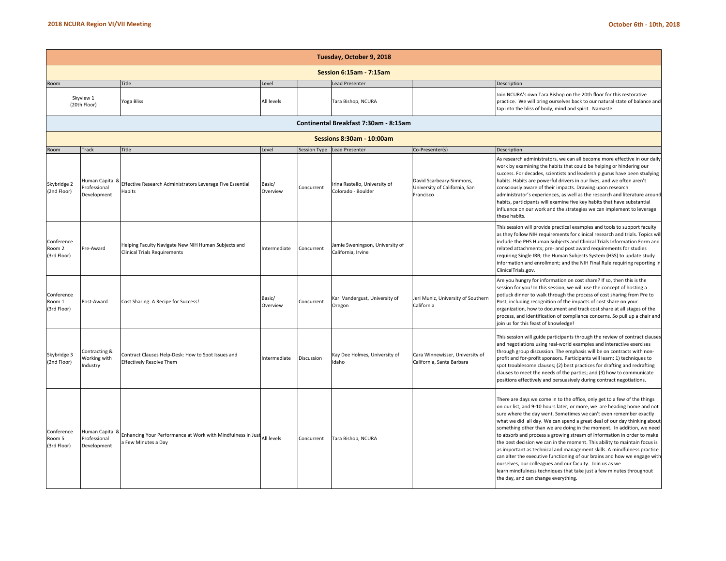|                                     | Tuesday, October 9, 2018                       |                                                                                                  |                    |            |                                                       |                                                                        |                                                                                                                                                                                                                                                                                                                                                                                                                                                                                                                                                                                                                                                                                                                                                                                                                                                                        |  |  |  |  |  |  |
|-------------------------------------|------------------------------------------------|--------------------------------------------------------------------------------------------------|--------------------|------------|-------------------------------------------------------|------------------------------------------------------------------------|------------------------------------------------------------------------------------------------------------------------------------------------------------------------------------------------------------------------------------------------------------------------------------------------------------------------------------------------------------------------------------------------------------------------------------------------------------------------------------------------------------------------------------------------------------------------------------------------------------------------------------------------------------------------------------------------------------------------------------------------------------------------------------------------------------------------------------------------------------------------|--|--|--|--|--|--|
| <b>Session 6:15am - 7:15am</b>      |                                                |                                                                                                  |                    |            |                                                       |                                                                        |                                                                                                                                                                                                                                                                                                                                                                                                                                                                                                                                                                                                                                                                                                                                                                                                                                                                        |  |  |  |  |  |  |
| Room                                |                                                | Title                                                                                            | evel               |            | <b>Lead Presenter</b>                                 |                                                                        | Description                                                                                                                                                                                                                                                                                                                                                                                                                                                                                                                                                                                                                                                                                                                                                                                                                                                            |  |  |  |  |  |  |
|                                     | Skyview 1<br>(20th Floor)                      | Yoga Bliss                                                                                       | All levels         |            | Tara Bishop, NCURA                                    |                                                                        | Join NCURA's own Tara Bishop on the 20th floor for this restorative<br>practice. We will bring ourselves back to our natural state of balance and<br>tap into the bliss of body, mind and spirit. Namaste                                                                                                                                                                                                                                                                                                                                                                                                                                                                                                                                                                                                                                                              |  |  |  |  |  |  |
|                                     | Continental Breakfast 7:30am - 8:15am          |                                                                                                  |                    |            |                                                       |                                                                        |                                                                                                                                                                                                                                                                                                                                                                                                                                                                                                                                                                                                                                                                                                                                                                                                                                                                        |  |  |  |  |  |  |
| Sessions 8:30am - 10:00am           |                                                |                                                                                                  |                    |            |                                                       |                                                                        |                                                                                                                                                                                                                                                                                                                                                                                                                                                                                                                                                                                                                                                                                                                                                                                                                                                                        |  |  |  |  |  |  |
| Room                                | <b>Track</b>                                   | Title                                                                                            | Level              |            | Session Type Lead Presenter                           | Co-Presenter(s)                                                        | Description                                                                                                                                                                                                                                                                                                                                                                                                                                                                                                                                                                                                                                                                                                                                                                                                                                                            |  |  |  |  |  |  |
| Skybridge 2<br>(2nd Floor)          | Human Capital &<br>Professional<br>Development | Effective Research Administrators Leverage Five Essential<br>Habits                              | Basic/<br>Overview | Concurrent | Irina Rastello, University of<br>Colorado - Boulder   | David Scarbeary-Simmons,<br>University of California, San<br>Francisco | As research administrators, we can all become more effective in our daily<br>work by examining the habits that could be helping or hindering our<br>success. For decades, scientists and leadership gurus have been studying<br>habits. Habits are powerful drivers in our lives, and we often aren't<br>consciously aware of their impacts. Drawing upon research<br>administrator's experiences, as well as the research and literature around<br>habits, participants will examine five key habits that have substantial<br>influence on our work and the strategies we can implement to leverage<br>these habits.                                                                                                                                                                                                                                                  |  |  |  |  |  |  |
| Conference<br>Room 2<br>(3rd Floor) | Pre-Award                                      | Helping Faculty Navigate New NIH Human Subjects and<br><b>Clinical Trials Requirements</b>       | ntermediate        | Concurrent | Jamie Sweningson, University of<br>California, Irvine |                                                                        | This session will provide practical examples and tools to support faculty<br>as they follow NIH requirements for clinical research and trials. Topics wi<br>include the PHS Human Subjects and Clinical Trials Information Form and<br>related attachments; pre- and post award requirements for studies<br>requiring Single IRB; the Human Subjects System (HSS) to update study<br>information and enrollment; and the NIH Final Rule requiring reporting ir<br>ClinicalTrials.gov.                                                                                                                                                                                                                                                                                                                                                                                  |  |  |  |  |  |  |
| Conference<br>Room 1<br>(3rd Floor) | Post-Award                                     | Cost Sharing: A Recipe for Success!                                                              | Basic/<br>Overview | Concurrent | Kari Vandergust, University of<br>Oregon              | Jeri Muniz, University of Southern<br>California                       | Are you hungry for information on cost share? If so, then this is the<br>session for you! In this session, we will use the concept of hosting a<br>potluck dinner to walk through the process of cost sharing from Pre to<br>Post, including recognition of the impacts of cost share on your<br>organization, how to document and track cost share at all stages of the<br>process, and identification of compliance concerns. So pull up a chair and<br>join us for this feast of knowledge!                                                                                                                                                                                                                                                                                                                                                                         |  |  |  |  |  |  |
| Skybridge 3<br>(2nd Floor)          | Contracting &<br>Working with<br>Industry      | Contract Clauses Help-Desk: How to Spot Issues and<br><b>Effectively Resolve Them</b>            | ntermediate        | Discussion | Kay Dee Holmes, University of<br>Idaho                | Cara Winnewisser, University of<br>California, Santa Barbara           | This session will guide participants through the review of contract clauses<br>and negotiations using real-world examples and interactive exercises<br>through group discussion. The emphasis will be on contracts with non-<br>profit and for-profit sponsors. Participants will learn: 1) techniques to<br>spot troublesome clauses; (2) best practices for drafting and redrafting<br>clauses to meet the needs of the parties; and (3) how to communicate<br>positions effectively and persuasively during contract negotiations.                                                                                                                                                                                                                                                                                                                                  |  |  |  |  |  |  |
| Conference<br>Room 5<br>(3rd Floor) | Human Capital 8<br>Professional<br>Development | Enhancing Your Performance at Work with Mindfulness in Just<br>All levels<br>a Few Minutes a Day |                    | Concurrent | Tara Bishop, NCURA                                    |                                                                        | There are days we come in to the office, only get to a few of the things<br>on our list, and 9-10 hours later, or more, we are heading home and not<br>sure where the day went. Sometimes we can't even remember exactly<br>what we did all day. We can spend a great deal of our day thinking about<br>something other than we are doing in the moment. In addition, we need<br>to absorb and process a growing stream of information in order to make<br>the best decision we can in the moment. This ability to maintain focus is<br>as important as technical and management skills. A mindfulness practice<br>can alter the executive functioning of our brains and how we engage with<br>ourselves, our colleagues and our faculty. Join us as we<br>learn mindfulness techniques that take just a few minutes throughout<br>the day, and can change everything. |  |  |  |  |  |  |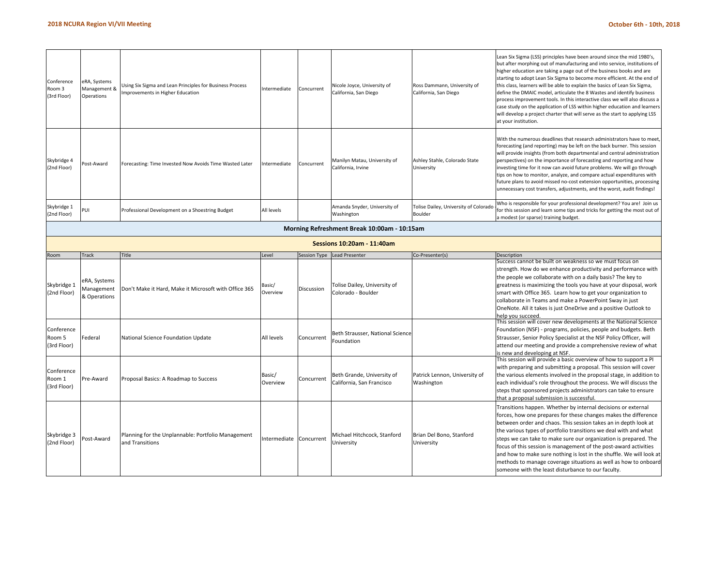| Conference<br>Room 3<br>(3rd Floor) | eRA, Systems<br>Management &<br>Operations | Using Six Sigma and Lean Principles for Business Process<br>mprovements in Higher Education | ntermediate            | Concurrent          | Nicole Joyce, University of<br>California, San Diego    | Ross Dammann, University of<br>California, San Diego | Lean Six Sigma (LSS) principles have been around since the mid 1980's,<br>but after morphing out of manufacturing and into service, institutions of<br>higher education are taking a page out of the business books and are<br>starting to adopt Lean Six Sigma to become more efficient. At the end of<br>this class, learners will be able to explain the basics of Lean Six Sigma,<br>define the DMAIC model, articulate the 8 Wastes and identify business<br>process improvement tools. In this interactive class we will also discuss a<br>case study on the application of LSS within higher education and learners<br>will develop a project charter that will serve as the start to applying LSS<br>at your institution. |  |  |  |  |
|-------------------------------------|--------------------------------------------|---------------------------------------------------------------------------------------------|------------------------|---------------------|---------------------------------------------------------|------------------------------------------------------|-----------------------------------------------------------------------------------------------------------------------------------------------------------------------------------------------------------------------------------------------------------------------------------------------------------------------------------------------------------------------------------------------------------------------------------------------------------------------------------------------------------------------------------------------------------------------------------------------------------------------------------------------------------------------------------------------------------------------------------|--|--|--|--|
| Skybridge 4<br>(2nd Floor)          | ost-Award                                  | Forecasting: Time Invested Now Avoids Time Wasted Later                                     | Intermediate           | Concurrent          | Manilyn Matau, University of<br>California, Irvine      | Ashley Stahle, Colorado State<br>University          | With the numerous deadlines that research administrators have to meet,<br>forecasting (and reporting) may be left on the back burner. This session<br>will provide insights (from both departmental and central administration<br>perspectives) on the importance of forecasting and reporting and how<br>investing time for it now can avoid future problems. We will go through<br>tips on how to monitor, analyze, and compare actual expenditures with<br>future plans to avoid missed no-cost extension opportunities, processing<br>unnecessary cost transfers, adjustments, and the worst, audit findings!                                                                                                                 |  |  |  |  |
| Skybridge 1<br>(2nd Floor)          | PUI                                        | Professional Development on a Shoestring Budget                                             | All levels             |                     | Amanda Snyder, University of<br>Washington              | Tolise Dailey, University of Colorado<br>Boulder     | Who is responsible for your professional development? You are! Join us<br>for this session and learn some tips and tricks for getting the most out of                                                                                                                                                                                                                                                                                                                                                                                                                                                                                                                                                                             |  |  |  |  |
|                                     |                                            |                                                                                             |                        |                     | Morning Refreshment Break 10:00am - 10:15am             |                                                      | a modest (or sparse) training budget.                                                                                                                                                                                                                                                                                                                                                                                                                                                                                                                                                                                                                                                                                             |  |  |  |  |
| Sessions 10:20am - 11:40am          |                                            |                                                                                             |                        |                     |                                                         |                                                      |                                                                                                                                                                                                                                                                                                                                                                                                                                                                                                                                                                                                                                                                                                                                   |  |  |  |  |
|                                     |                                            |                                                                                             |                        |                     |                                                         |                                                      |                                                                                                                                                                                                                                                                                                                                                                                                                                                                                                                                                                                                                                                                                                                                   |  |  |  |  |
| Room                                | Track                                      | Title                                                                                       | evel                   | <b>Session Type</b> | ead Presenter                                           | Co-Presenter(s)                                      | Description<br>Success cannot be built on weakness so we must focus on                                                                                                                                                                                                                                                                                                                                                                                                                                                                                                                                                                                                                                                            |  |  |  |  |
| Skybridge 1<br>(2nd Floor)          | eRA, Systems<br>Management<br>& Operations | Don't Make it Hard, Make it Microsoft with Office 365                                       | Basic/<br>Overview     | Discussion          | Tolise Dailey, University of<br>Colorado - Boulder      |                                                      | strength. How do we enhance productivity and performance with<br>the people we collaborate with on a daily basis? The key to<br>greatness is maximizing the tools you have at your disposal, work<br>smart with Office 365. Learn how to get your organization to<br>collaborate in Teams and make a PowerPoint Sway in just<br>OneNote. All it takes is just OneDrive and a positive Outlook to<br>help you succeed.                                                                                                                                                                                                                                                                                                             |  |  |  |  |
| Conference<br>Room 5<br>(3rd Floor) | Federal                                    | National Science Foundation Update                                                          | All levels             | Concurrent          | Beth Strausser, National Science<br>Foundation          |                                                      | This session will cover new developments at the National Science<br>Foundation (NSF) - programs, policies, people and budgets. Beth<br>Strausser, Senior Policy Specialist at the NSF Policy Officer, will<br>attend our meeting and provide a comprehensive review of what<br>is new and developing at NSF.                                                                                                                                                                                                                                                                                                                                                                                                                      |  |  |  |  |
| Conference<br>Room 1<br>(3rd Floor) | Pre-Award                                  | Proposal Basics: A Roadmap to Success                                                       | Basic/<br>Overview     | Concurrent          | Beth Grande, University of<br>California, San Francisco | Patrick Lennon, University of<br>Washington          | This session will provide a basic overview of how to support a PI<br>with preparing and submitting a proposal. This session will cover<br>the various elements involved in the proposal stage, in addition to<br>each individual's role throughout the process. We will discuss the<br>steps that sponsored projects administrators can take to ensure<br>that a proposal submission is successful                                                                                                                                                                                                                                                                                                                                |  |  |  |  |
| Skybridge 3<br>(2nd Floor)          | Post-Award                                 | Planning for the Unplannable: Portfolio Management<br>and Transitions                       | ntermediate Concurrent |                     | Michael Hitchcock, Stanford<br>University               | Brian Del Bono, Stanford<br>University               | Transitions happen. Whether by internal decisions or external<br>forces, how one prepares for these changes makes the difference<br>between order and chaos. This session takes an in depth look at<br>the various types of portfolio transitions we deal with and what<br>steps we can take to make sure our organization is prepared. The<br>focus of this session is management of the post-award activities<br>and how to make sure nothing is lost in the shuffle. We will look at<br>methods to manage coverage situations as well as how to onboard<br>someone with the least disturbance to our faculty.                                                                                                                  |  |  |  |  |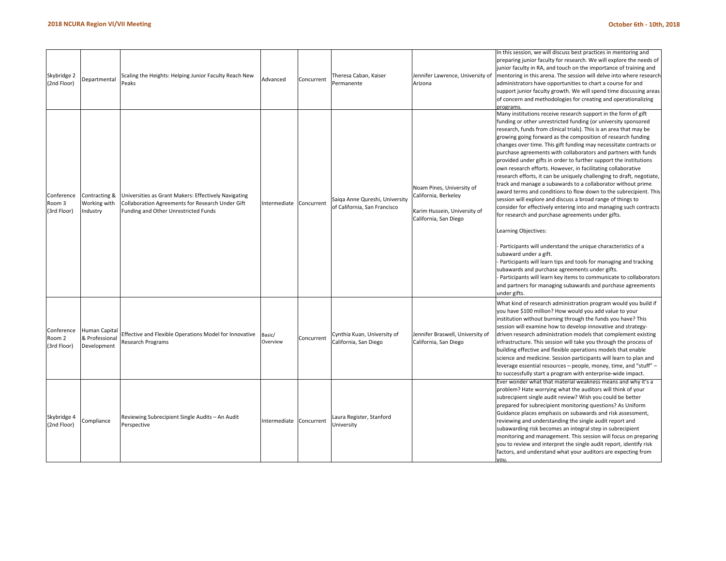| Skybridge 2<br>(2nd Floor)          | Departmental                                   | Scaling the Heights: Helping Junior Faculty Reach New<br>Peaks                                                                                   | Advanced           | Concurrent | Theresa Caban, Kaiser<br>Permanente                            | Jennifer Lawrence, University of<br>Arizona                                                                | In this session, we will discuss best practices in mentoring and<br>preparing junior faculty for research. We will explore the needs of<br>junior faculty in RA, and touch on the importance of training and<br>mentoring in this arena. The session will delve into where research<br>administrators have opportunities to chart a course for and<br>support junior faculty growth. We will spend time discussing areas<br>of concern and methodologies for creating and operationalizing<br>programs.                                                                                                                                                                                                                                                                                                                                                                                                                                                                                                                                                                                                                                                                                                                                                                                                                                                |
|-------------------------------------|------------------------------------------------|--------------------------------------------------------------------------------------------------------------------------------------------------|--------------------|------------|----------------------------------------------------------------|------------------------------------------------------------------------------------------------------------|--------------------------------------------------------------------------------------------------------------------------------------------------------------------------------------------------------------------------------------------------------------------------------------------------------------------------------------------------------------------------------------------------------------------------------------------------------------------------------------------------------------------------------------------------------------------------------------------------------------------------------------------------------------------------------------------------------------------------------------------------------------------------------------------------------------------------------------------------------------------------------------------------------------------------------------------------------------------------------------------------------------------------------------------------------------------------------------------------------------------------------------------------------------------------------------------------------------------------------------------------------------------------------------------------------------------------------------------------------|
| Conference<br>Room 3<br>(3rd Floor) | Contracting &<br>Working with<br>Industry      | Universities as Grant Makers: Effectively Navigating<br>Collaboration Agreements for Research Under Gift<br>Funding and Other Unrestricted Funds | Intermediate       | Concurrent | Saiga Anne Qureshi, University<br>of California, San Francisco | Noam Pines, University of<br>California, Berkeley<br>Karim Hussein, University of<br>California, San Diego | Many institutions receive research support in the form of gift<br>funding or other unrestricted funding (or university sponsored<br>research, funds from clinical trials). This is an area that may be<br>growing going forward as the composition of research funding<br>changes over time. This gift funding may necessitate contracts or<br>purchase agreements with collaborators and partners with funds<br>provided under gifts in order to further support the institutions<br>own research efforts. However, in facilitating collaborative<br>research efforts, it can be uniquely challenging to draft, negotiate,<br>track and manage a subawards to a collaborator without prime<br>award terms and conditions to flow down to the subrecipient. This<br>session will explore and discuss a broad range of things to<br>consider for effectively entering into and managing such contracts<br>for research and purchase agreements under gifts.<br>Learning Objectives:<br>Participants will understand the unique characteristics of a<br>subaward under a gift.<br>Participants will learn tips and tools for managing and tracking<br>subawards and purchase agreements under gifts.<br>Participants will learn key items to communicate to collaborators<br>and partners for managing subawards and purchase agreements<br>under gifts. |
| Conference<br>Room 2<br>(3rd Floor) | Human Capital<br>& Professional<br>Development | Effective and Flexible Operations Model for Innovative<br>Research Programs                                                                      | Basic/<br>Overview | Concurrent | Cynthia Kuan, University of<br>California, San Diego           | Jennifer Braswell, University of<br>California, San Diego                                                  | What kind of research administration program would you build if<br>you have \$100 million? How would you add value to your<br>institution without burning through the funds you have? This<br>session will examine how to develop innovative and strategy-<br>driven research administration models that complement existing<br>infrastructure. This session will take you through the process of<br>building effective and flexible operations models that enable<br>science and medicine. Session participants will learn to plan and<br>leverage essential resources - people, money, time, and "stuff" -<br>to successfully start a program with enterprise-wide impact.                                                                                                                                                                                                                                                                                                                                                                                                                                                                                                                                                                                                                                                                           |
| Skybridge 4<br>(2nd Floor)          | Compliance                                     | Reviewing Subrecipient Single Audits - An Audit<br>Perspective                                                                                   | Intermediate       | Concurrent | Laura Register, Stanford<br>University                         |                                                                                                            | Ever wonder what that material weakness means and why it's a<br>problem? Hate worrying what the auditors will think of your<br>subrecipient single audit review? Wish you could be better<br>prepared for subrecipient monitoring questions? As Uniform<br>Guidance places emphasis on subawards and risk assessment,<br>reviewing and understanding the single audit report and<br>subawarding risk becomes an integral step in subrecipient<br>monitoring and management. This session will focus on preparing<br>you to review and interpret the single audit report, identify risk<br>factors, and understand what your auditors are expecting from                                                                                                                                                                                                                                                                                                                                                                                                                                                                                                                                                                                                                                                                                                |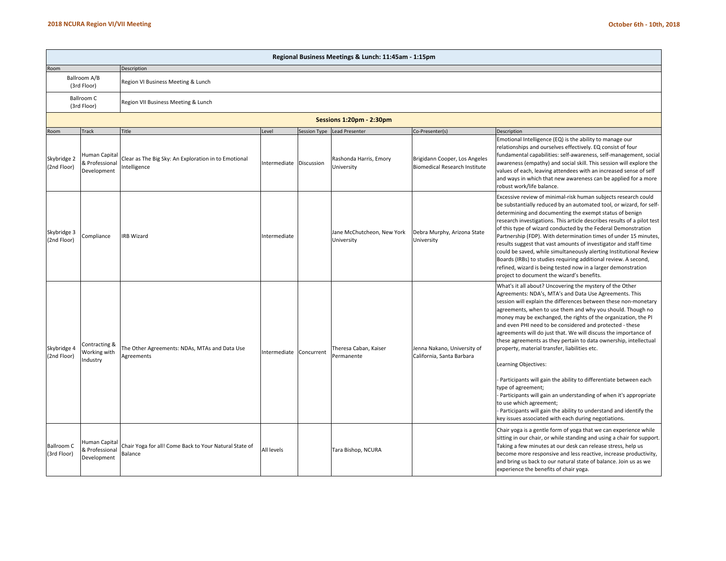|                                  | Regional Business Meetings & Lunch: 11:45am - 1:15pm |                                                                      |                         |              |                                          |                                                                       |                                                                                                                                                                                                                                                                                                                                                                                                                                                                                                                                                                                                                                                                                                                                                                                                                                                                                                                         |  |  |  |  |  |  |
|----------------------------------|------------------------------------------------------|----------------------------------------------------------------------|-------------------------|--------------|------------------------------------------|-----------------------------------------------------------------------|-------------------------------------------------------------------------------------------------------------------------------------------------------------------------------------------------------------------------------------------------------------------------------------------------------------------------------------------------------------------------------------------------------------------------------------------------------------------------------------------------------------------------------------------------------------------------------------------------------------------------------------------------------------------------------------------------------------------------------------------------------------------------------------------------------------------------------------------------------------------------------------------------------------------------|--|--|--|--|--|--|
| Room                             |                                                      | Description                                                          |                         |              |                                          |                                                                       |                                                                                                                                                                                                                                                                                                                                                                                                                                                                                                                                                                                                                                                                                                                                                                                                                                                                                                                         |  |  |  |  |  |  |
|                                  | Ballroom A/B<br>(3rd Floor)                          | Region VI Business Meeting & Lunch                                   |                         |              |                                          |                                                                       |                                                                                                                                                                                                                                                                                                                                                                                                                                                                                                                                                                                                                                                                                                                                                                                                                                                                                                                         |  |  |  |  |  |  |
|                                  | Ballroom C<br>(3rd Floor)                            | Region VII Business Meeting & Lunch                                  |                         |              |                                          |                                                                       |                                                                                                                                                                                                                                                                                                                                                                                                                                                                                                                                                                                                                                                                                                                                                                                                                                                                                                                         |  |  |  |  |  |  |
|                                  |                                                      |                                                                      |                         |              |                                          |                                                                       |                                                                                                                                                                                                                                                                                                                                                                                                                                                                                                                                                                                                                                                                                                                                                                                                                                                                                                                         |  |  |  |  |  |  |
| Room                             | <b>Track</b>                                         | Title                                                                | Level                   | Session Type | Lead Presenter                           | Co-Presenter(s)                                                       | Description                                                                                                                                                                                                                                                                                                                                                                                                                                                                                                                                                                                                                                                                                                                                                                                                                                                                                                             |  |  |  |  |  |  |
| Skybridge 2<br>(2nd Floor)       | Human Capital<br>& Professional<br>Development       | Clear as The Big Sky: An Exploration in to Emotional<br>Intelligence | Intermediate Discussion |              | Rashonda Harris, Emory<br>University     | Brigidann Cooper, Los Angeles<br><b>Biomedical Research Institute</b> | Emotional Intelligence (EQ) is the ability to manage our<br>relationships and ourselves effectively. EQ consist of four<br>fundamental capabilities: self-awareness, self-management, social<br>awareness (empathy) and social skill. This session will explore the<br>values of each, leaving attendees with an increased sense of self<br>and ways in which that new awareness can be applied for a more<br>robust work/life balance.                                                                                                                                                                                                                                                                                                                                                                                                                                                                                 |  |  |  |  |  |  |
| Skybridge 3<br>(2nd Floor)       | Compliance                                           | <b>IRB Wizard</b>                                                    | Intermediate            |              | Jane McChutcheon, New York<br>University | Debra Murphy, Arizona State<br>University                             | Excessive review of minimal-risk human subjects research could<br>be substantially reduced by an automated tool, or wizard, for self-<br>determining and documenting the exempt status of benign<br>research investigations. This article describes results of a pilot test<br>of this type of wizard conducted by the Federal Demonstration<br>Partnership (FDP). With determination times of under 15 minutes,<br>results suggest that vast amounts of investigator and staff time<br>could be saved, while simultaneously alerting Institutional Review<br>Boards (IRBs) to studies requiring additional review. A second,<br>refined, wizard is being tested now in a larger demonstration<br>project to document the wizard's benefits.                                                                                                                                                                            |  |  |  |  |  |  |
| Skybridge 4<br>(2nd Floor)       | Contracting &<br>Working with<br>Industry            | The Other Agreements: NDAs, MTAs and Data Use<br>Agreements          | Intermediate Concurrent |              | Theresa Caban, Kaiser<br>Permanente      | Jenna Nakano, University of<br>California, Santa Barbara              | What's it all about? Uncovering the mystery of the Other<br>Agreements: NDA's, MTA's and Data Use Agreements. This<br>session will explain the differences between these non-monetary<br>agreements, when to use them and why you should. Though no<br>money may be exchanged, the rights of the organization, the PI<br>and even PHI need to be considered and protected - these<br>agreements will do just that. We will discuss the importance of<br>these agreements as they pertain to data ownership, intellectual<br>property, material transfer, liabilities etc.<br>Learning Objectives:<br>Participants will gain the ability to differentiate between each<br>type of agreement;<br>Participants will gain an understanding of when it's appropriate<br>to use which agreement;<br>Participants will gain the ability to understand and identify the<br>key issues associated with each during negotiations. |  |  |  |  |  |  |
| <b>Ballroom C</b><br>(3rd Floor) | Human Capital<br>& Professional<br>Development       | Chair Yoga for all! Come Back to Your Natural State of<br>Balance    | All levels              |              | Tara Bishop, NCURA                       |                                                                       | Chair yoga is a gentle form of yoga that we can experience while<br>sitting in our chair, or while standing and using a chair for support.<br>Taking a few minutes at our desk can release stress, help us<br>become more responsive and less reactive, increase productivity,<br>and bring us back to our natural state of balance. Join us as we<br>experience the benefits of chair yoga.                                                                                                                                                                                                                                                                                                                                                                                                                                                                                                                            |  |  |  |  |  |  |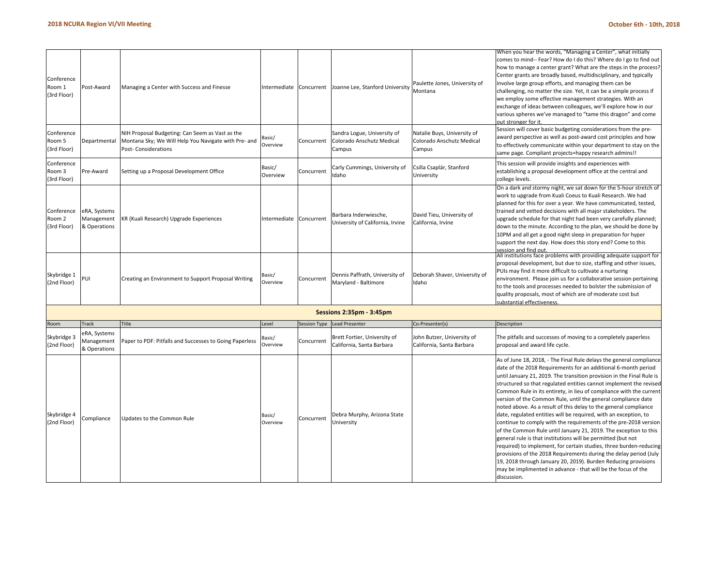required) to implement, for certain studies, three burden‐reducing provisions of the 2018 Requirements during the delay period (July 19, 2018 through January 20, 2019). Burden Reducing provisions may be implimented in advance ‐ that will be the focus of the

discussion.

| Conference<br>Room 1<br>(3rd Floor) | Post-Award                                 | Managing a Center with Success and Finesse                                                                                     | Intermediate Concurrent |                     | Joanne Lee, Stanford University                                    | Paulette Jones, University of<br>Montana                           | When you hear the words, "Managing a Center", what initially<br>comes to mind-- Fear? How do I do this? Where do I go to find out<br>how to manage a center grant? What are the steps in the process?<br>Center grants are broadly based, multidisciplinary, and typically<br>involve large group efforts, and managing them can be<br>challenging, no matter the size. Yet, it can be a simple process if<br>we employ some effective management strategies. With an<br>exchange of ideas between colleagues, we'll explore how in our<br>various spheres we've managed to "tame this dragon" and come<br>out stronger for it.                                                                                                                                              |
|-------------------------------------|--------------------------------------------|--------------------------------------------------------------------------------------------------------------------------------|-------------------------|---------------------|--------------------------------------------------------------------|--------------------------------------------------------------------|------------------------------------------------------------------------------------------------------------------------------------------------------------------------------------------------------------------------------------------------------------------------------------------------------------------------------------------------------------------------------------------------------------------------------------------------------------------------------------------------------------------------------------------------------------------------------------------------------------------------------------------------------------------------------------------------------------------------------------------------------------------------------|
| Conference<br>Room 5<br>(3rd Floor) | Departmental                               | NIH Proposal Budgeting: Can Seem as Vast as the<br>Montana Sky; We Will Help You Navigate with Pre- and<br>Post-Considerations | Basic/<br>Overview      | Concurrent          | Sandra Logue, University of<br>Colorado Anschutz Medical<br>Campus | Natalie Buys, University of<br>Colorado Anschutz Medical<br>Campus | Session will cover basic budgeting considerations from the pre-<br>award perspective as well as post-award cost principles and how<br>to effectively communicate within your department to stay on the<br>same page. Compliant projects=happy research admins!!                                                                                                                                                                                                                                                                                                                                                                                                                                                                                                              |
| Conference<br>Room 3<br>(3rd Floor) | Pre-Award                                  | Setting up a Proposal Development Office                                                                                       | Basic/<br>Overview      | Concurrent          | Carly Cummings, University of<br>Idaho                             | Csilla Csaplár, Stanford<br>University                             | This session will provide insights and experiences with<br>establishing a proposal development office at the central and<br>college levels.                                                                                                                                                                                                                                                                                                                                                                                                                                                                                                                                                                                                                                  |
| Conference<br>Room 2<br>(3rd Floor) | eRA, Systems<br>Management<br>& Operations | KR (Kuali Research) Upgrade Experiences                                                                                        | Intermediate            | Concurrent          | Barbara Inderwiesche,<br>University of California, Irvine          | David Tieu, University of<br>California, Irvine                    | On a dark and stormy night, we sat down for the 5-hour stretch of<br>work to upgrade from Kuali Coeus to Kuali Research. We had<br>planned for this for over a year. We have communicated, tested,<br>trained and vetted decisions with all major stakeholders. The<br>upgrade schedule for that night had been very carefully planned;<br>down to the minute. According to the plan, we should be done by<br>10PM and all get a good night sleep in preparation for hyper<br>support the next day. How does this story end? Come to this<br>session and find out.                                                                                                                                                                                                           |
| Skybridge 1<br>(2nd Floor)          | PUI                                        | Creating an Environment to Support Proposal Writing                                                                            | Basic/<br>Overview      | Concurrent          | Dennis Paffrath, University of<br>Maryland - Baltimore             | Deborah Shaver, University of<br>Idaho                             | All institutions face problems with providing adequate support for<br>proposal development, but due to size, staffing and other issues,<br>PUIs may find it more difficult to cultivate a nurturing<br>environment. Please join us for a collaborative session pertaining<br>to the tools and processes needed to bolster the submission of<br>quality proposals, most of which are of moderate cost but<br>substantial effectiveness.                                                                                                                                                                                                                                                                                                                                       |
|                                     |                                            |                                                                                                                                |                         |                     | Sessions 2:35pm - 3:45pm                                           |                                                                    |                                                                                                                                                                                                                                                                                                                                                                                                                                                                                                                                                                                                                                                                                                                                                                              |
| Room                                | Track                                      | Title                                                                                                                          | evel                    | <b>Session Type</b> | <b>Lead Presenter</b>                                              | Co-Presenter(s)                                                    | Description                                                                                                                                                                                                                                                                                                                                                                                                                                                                                                                                                                                                                                                                                                                                                                  |
| Skybridge 3<br>(2nd Floor)          | eRA, Systems<br>Management<br>& Operations | Paper to PDF: Pitfalls and Successes to Going Paperless                                                                        | Basic/<br>Overview      | Concurrent          | Brett Fortier, University of<br>California, Santa Barbara          | John Butzer, University of<br>California, Santa Barbara            | The pitfalls and successes of moving to a completely paperless<br>proposal and award life cycle.                                                                                                                                                                                                                                                                                                                                                                                                                                                                                                                                                                                                                                                                             |
| Skybridge 4<br>(2nd Floor)          | Compliance                                 | Updates to the Common Rule                                                                                                     | Basic/<br>Overview      | Concurrent          | Debra Murphy, Arizona State<br>University                          |                                                                    | As of June 18, 2018, - The Final Rule delays the general compliance<br>date of the 2018 Requirements for an additional 6-month period<br>until January 21, 2019. The transition provision in the Final Rule is<br>structured so that regulated entities cannot implement the revised<br>Common Rule in its entirety, in lieu of compliance with the current<br>version of the Common Rule, until the general compliance date<br>noted above. As a result of this delay to the general compliance<br>date, regulated entities will be required, with an exception, to<br>continue to comply with the requirements of the pre-2018 version<br>of the Common Rule until January 21, 2019. The exception to this<br>general rule is that institutions will be permitted (but not |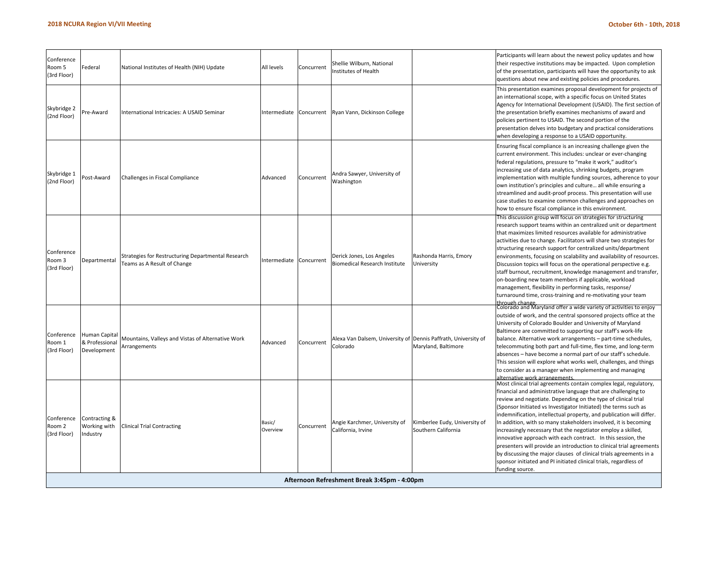| Conference<br>Room 5<br>(3rd Floor) | Federal                                        | National Institutes of Health (NIH) Update                                        | All levels              | Concurrent | Shellie Wilburn, National<br>Institutes of Health                          |                                                      | Participants will learn about the newest policy updates and how<br>their respective institutions may be impacted. Upon completion<br>of the presentation, participants will have the opportunity to ask<br>questions about new and existing policies and procedures.                                                                                                                                                                                                                                                                                                                                                                                                                                                                                                                    |  |  |  |  |
|-------------------------------------|------------------------------------------------|-----------------------------------------------------------------------------------|-------------------------|------------|----------------------------------------------------------------------------|------------------------------------------------------|-----------------------------------------------------------------------------------------------------------------------------------------------------------------------------------------------------------------------------------------------------------------------------------------------------------------------------------------------------------------------------------------------------------------------------------------------------------------------------------------------------------------------------------------------------------------------------------------------------------------------------------------------------------------------------------------------------------------------------------------------------------------------------------------|--|--|--|--|
| Skybridge 2<br>(2nd Floor)          | Pre-Award                                      | International Intricacies: A USAID Seminar                                        | Intermediate Concurrent |            | Ryan Vann, Dickinson College                                               |                                                      | This presentation examines proposal development for projects of<br>an international scope, with a specific focus on United States<br>Agency for International Development (USAID). The first section of<br>the presentation briefly examines mechanisms of award and<br>policies pertinent to USAID. The second portion of the<br>presentation delves into budgetary and practical considerations<br>when developing a response to a USAID opportunity.                                                                                                                                                                                                                                                                                                                                 |  |  |  |  |
| Skybridge 1<br>(2nd Floor)          | ost-Award                                      | Challenges in Fiscal Compliance                                                   | Advanced                | Concurrent | Andra Sawyer, University of<br>Washington                                  |                                                      | Ensuring fiscal compliance is an increasing challenge given the<br>current environment. This includes: unclear or ever-changing<br>federal regulations, pressure to "make it work," auditor's<br>increasing use of data analytics, shrinking budgets, program<br>implementation with multiple funding sources, adherence to your<br>own institution's principles and culture all while ensuring a<br>streamlined and audit-proof process. This presentation will use<br>case studies to examine common challenges and approaches on<br>how to ensure fiscal compliance in this environment.                                                                                                                                                                                             |  |  |  |  |
| Conference<br>Room 3<br>(3rd Floor) | Departmental                                   | Strategies for Restructuring Departmental Research<br>Teams as A Result of Change | Intermediate            | Concurrent | Derick Jones, Los Angeles<br><b>Biomedical Research Institute</b>          | Rashonda Harris, Emory<br>University                 | This discussion group will focus on strategies for structuring<br>research support teams within an centralized unit or department<br>that maximizes limited resources available for administrative<br>activities due to change. Facilitators will share two strategies for<br>structuring research support for centralized units/department<br>environments, focusing on scalability and availability of resources.<br>Discussion topics will focus on the operational perspective e.g.<br>staff burnout, recruitment, knowledge management and transfer,<br>on-boarding new team members if applicable, workload<br>management, flexibility in performing tasks, response/<br>turnaround time, cross-training and re-motivating your team                                              |  |  |  |  |
| Conference<br>Room 1<br>(3rd Floor) | Human Capital<br>& Professional<br>Development | Mountains, Valleys and Vistas of Alternative Work<br>Arrangements                 | Advanced                | Concurrent | Alexa Van Dalsem, University of Dennis Paffrath, University of<br>Colorado | Maryland, Baltimore                                  | through change.<br> Colorado and Maryland offer a wide variety of activities to enjoy<br>outside of work, and the central sponsored projects office at the<br>University of Colorado Boulder and University of Maryland<br>Baltimore are committed to supporting our staff's work-life<br>balance. Alternative work arrangements - part-time schedules,<br>telecommuting both part and full-time, flex time, and long-term<br>absences - have become a normal part of our staff's schedule.<br>This session will explore what works well, challenges, and things<br>to consider as a manager when implementing and managing<br>alternative work arrangements                                                                                                                            |  |  |  |  |
| Conference<br>Room 2<br>(3rd Floor) | Contracting &<br>Working with<br>industry      | <b>Clinical Trial Contracting</b>                                                 | Basic/<br>Overview      | Concurrent | Angie Karchmer, University of<br>California, Irvine                        | Kimberlee Eudy, University of<br>Southern California | Most clinical trial agreements contain complex legal, regulatory,<br>financial and administrative language that are challenging to<br>review and negotiate. Depending on the type of clinical trial<br>(Sponsor Initiated vs Investigator Initiated) the terms such as<br>indemnification, intellectual property, and publication will differ.<br>In addition, with so many stakeholders involved, it is becoming<br>increasingly necessary that the negotiator employ a skilled,<br>innovative approach with each contract. In this session, the<br>presenters will provide an introduction to clinical trial agreements<br>by discussing the major clauses of clinical trials agreements in a<br>sponsor initiated and PI initiated clinical trials, regardless of<br>funding source. |  |  |  |  |
|                                     | Afternoon Refreshment Break 3:45pm - 4:00pm    |                                                                                   |                         |            |                                                                            |                                                      |                                                                                                                                                                                                                                                                                                                                                                                                                                                                                                                                                                                                                                                                                                                                                                                         |  |  |  |  |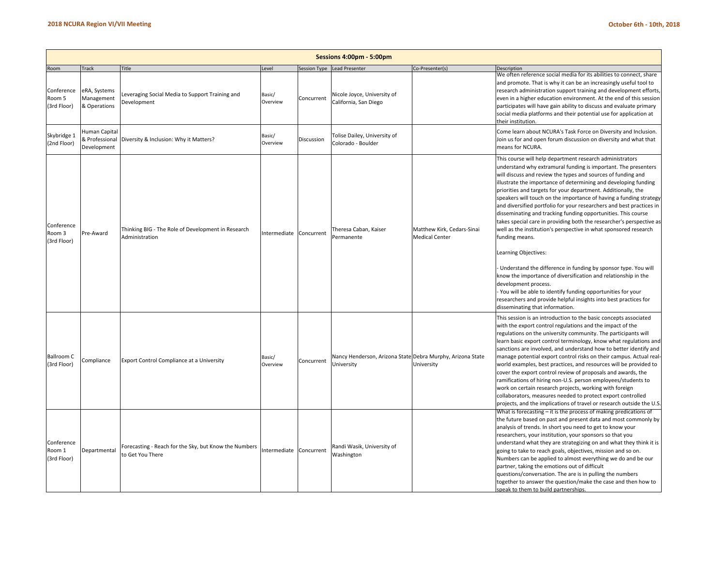|                                     | Sessions 4:00pm - 5:00pm                       |                                                                           |                         |            |                                                                          |                                                     |                                                                                                                                                                                                                                                                                                                                                                                                                                                                                                                                                                                                                                                                                                                                                                                                                                                                                                                                                                                                                                                                       |  |  |  |  |  |
|-------------------------------------|------------------------------------------------|---------------------------------------------------------------------------|-------------------------|------------|--------------------------------------------------------------------------|-----------------------------------------------------|-----------------------------------------------------------------------------------------------------------------------------------------------------------------------------------------------------------------------------------------------------------------------------------------------------------------------------------------------------------------------------------------------------------------------------------------------------------------------------------------------------------------------------------------------------------------------------------------------------------------------------------------------------------------------------------------------------------------------------------------------------------------------------------------------------------------------------------------------------------------------------------------------------------------------------------------------------------------------------------------------------------------------------------------------------------------------|--|--|--|--|--|
| Room                                | Track                                          | Title                                                                     | Level                   |            | Session Type Lead Presenter                                              | Co-Presenter(s)                                     | Description                                                                                                                                                                                                                                                                                                                                                                                                                                                                                                                                                                                                                                                                                                                                                                                                                                                                                                                                                                                                                                                           |  |  |  |  |  |
| Conference<br>Room 5<br>(3rd Floor) | eRA, Systems<br>Management<br>& Operations     | everaging Social Media to Support Training and<br>Development             | Basic/<br>Overview      | Concurrent | Nicole Joyce, University of<br>California, San Diego                     |                                                     | We often reference social media for its abilities to connect, share<br>and promote. That is why it can be an increasingly useful tool to<br>research administration support training and development efforts,<br>even in a higher education environment. At the end of this session<br>participates will have gain ability to discuss and evaluate primary<br>social media platforms and their potential use for application at<br>their institution.                                                                                                                                                                                                                                                                                                                                                                                                                                                                                                                                                                                                                 |  |  |  |  |  |
| Skybridge 1<br>(2nd Floor)          | Human Capital<br>& Professional<br>Development | Diversity & Inclusion: Why it Matters?                                    | Basic/<br>Overview      | Discussion | Tolise Dailey, University of<br>Colorado - Boulder                       |                                                     | Come learn about NCURA's Task Force on Diversity and Inclusion.<br>Join us for and open forum discussion on diversity and what that<br>means for NCURA.                                                                                                                                                                                                                                                                                                                                                                                                                                                                                                                                                                                                                                                                                                                                                                                                                                                                                                               |  |  |  |  |  |
| Conference<br>Room 3<br>(3rd Floor) | Pre-Award                                      | Thinking BIG - The Role of Development in Research<br>Administration      | Intermediate Concurrent |            | Theresa Caban, Kaiser<br>Permanente                                      | Matthew Kirk, Cedars-Sinai<br><b>Medical Center</b> | This course will help department research administrators<br>understand why extramural funding is important. The presenters<br>will discuss and review the types and sources of funding and<br>illustrate the importance of determining and developing funding<br>priorities and targets for your department. Additionally, the<br>speakers will touch on the importance of having a funding strategy<br>and diversified portfolio for your researchers and best practices in<br>disseminating and tracking funding opportunities. This course<br>takes special care in providing both the researcher's perspective as<br>well as the institution's perspective in what sponsored research<br>funding means.<br>Learning Objectives:<br>Understand the difference in funding by sponsor type. You will<br>know the importance of diversification and relationship in the<br>development process.<br>You will be able to identify funding opportunities for your<br>researchers and provide helpful insights into best practices for<br>disseminating that information. |  |  |  |  |  |
| <b>Ballroom C</b><br>(3rd Floor)    | Compliance                                     | Export Control Compliance at a University                                 | Basic/<br>Overview      | Concurrent | Nancy Henderson, Arizona State Debra Murphy, Arizona State<br>University | University                                          | This session is an introduction to the basic concepts associated<br>with the export control regulations and the impact of the<br>regulations on the university community. The participants will<br>learn basic export control terminology, know what regulations and<br>sanctions are involved, and understand how to better identify and<br>manage potential export control risks on their campus. Actual real-<br>world examples, best practices, and resources will be provided to<br>cover the export control review of proposals and awards, the<br>ramifications of hiring non-U.S. person employees/students to<br>work on certain research projects, working with foreign<br>collaborators, measures needed to protect export controlled<br>projects, and the implications of travel or research outside the U.S.                                                                                                                                                                                                                                             |  |  |  |  |  |
| Conference<br>Room 1<br>(3rd Floor) | Departmental                                   | Forecasting - Reach for the Sky, but Know the Numbers<br>to Get You There | Intermediate Concurrent |            | Randi Wasik, University of<br>Washington                                 |                                                     | What is forecasting - it is the process of making predications of<br>the future based on past and present data and most commonly by<br>analysis of trends. In short you need to get to know your<br>researchers, your institution, your sponsors so that you<br>understand what they are strategizing on and what they think it is<br>going to take to reach goals, objectives, mission and so on.<br>Numbers can be applied to almost everything we do and be our<br>partner, taking the emotions out of difficult<br>questions/conversation. The are is in pulling the numbers<br>together to answer the question/make the case and then how to<br>speak to them to build partnerships.                                                                                                                                                                                                                                                                                                                                                                             |  |  |  |  |  |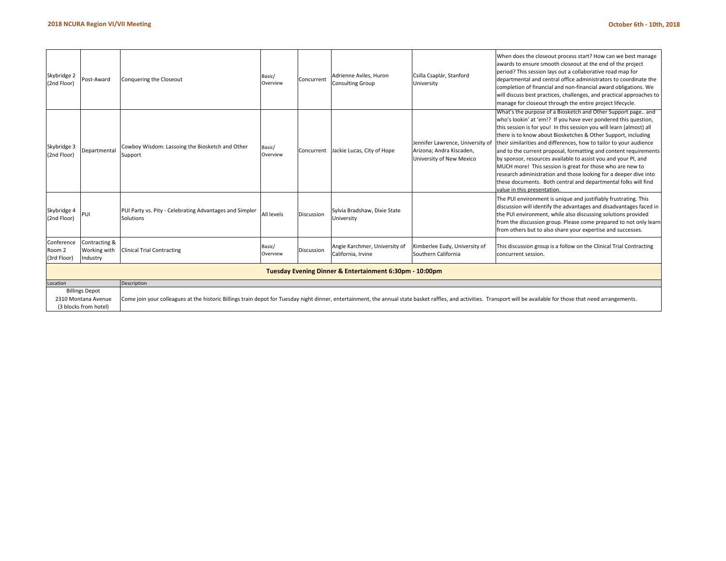| Skybridge 2<br>(2nd Floor)          | Post-Award                                                                                                                                                                                                                                                                                      | Conquering the Closeout                                              | Basic/<br>Overview | Concurrent | Adrienne Aviles, Huron<br><b>Consulting Group</b>   | Csilla Csaplár, Stanford<br>University                                                   | When does the closeout process start? How can we best manage<br>awards to ensure smooth closeout at the end of the project<br>period? This session lays out a collaborative road map for<br>departmental and central office administrators to coordinate the<br>completion of financial and non-financial award obligations. We<br>will discuss best practices, challenges, and practical approaches to<br>manage for closeout through the entire project lifecycle.                                                                                                                                                                                                                                                  |  |  |  |  |  |
|-------------------------------------|-------------------------------------------------------------------------------------------------------------------------------------------------------------------------------------------------------------------------------------------------------------------------------------------------|----------------------------------------------------------------------|--------------------|------------|-----------------------------------------------------|------------------------------------------------------------------------------------------|-----------------------------------------------------------------------------------------------------------------------------------------------------------------------------------------------------------------------------------------------------------------------------------------------------------------------------------------------------------------------------------------------------------------------------------------------------------------------------------------------------------------------------------------------------------------------------------------------------------------------------------------------------------------------------------------------------------------------|--|--|--|--|--|
| Skybridge 3<br>(2nd Floor)          | Departmental                                                                                                                                                                                                                                                                                    | Cowboy Wisdom: Lassoing the Biosketch and Other<br>Support           | Basic/<br>Overview | Concurrent | Jackie Lucas, City of Hope                          | Jennifer Lawrence, University of<br>Arizona; Andra Kiscaden,<br>University of New Mexico | What's the purpose of a Biosketch and Other Support page and<br>who's lookin' at 'em!? If you have ever pondered this question,<br>this session is for you! In this session you will learn (almost) all<br>there is to know about Biosketches & Other Support, including<br>their similarities and differences, how to tailor to your audience<br>and to the current proposal, formatting and content requirements<br>by sponsor, resources available to assist you and your PI, and<br>MUCH more! This session is great for those who are new to<br>research administration and those looking for a deeper dive into<br>these documents. Both central and departmental folks will find<br>value in this presentation |  |  |  |  |  |
| Skybridge 4<br>(2nd Floor)          | PUI                                                                                                                                                                                                                                                                                             | PUI Party vs. Pity - Celebrating Advantages and Simpler<br>Solutions | All levels         | Discussion | Sylvia Bradshaw, Dixie State<br>University          |                                                                                          | The PUI environment is unique and justifiably frustrating. This<br>discussion will identify the advantages and disadvantages faced in<br>the PUI environment, while also discussing solutions provided<br>from the discussion group. Please come prepared to not only learn<br>from others but to also share your expertise and successes.                                                                                                                                                                                                                                                                                                                                                                            |  |  |  |  |  |
| Conference<br>Room 2<br>(3rd Floor) | Contracting &<br>Working with<br>Industry                                                                                                                                                                                                                                                       | <b>Clinical Trial Contracting</b>                                    | Basic/<br>Overview | Discussion | Angie Karchmer, University of<br>California, Irvine | Kimberlee Eudy, University of<br>Southern California                                     | This discussion group is a follow on the Clinical Trial Contracting<br>concurrent session.                                                                                                                                                                                                                                                                                                                                                                                                                                                                                                                                                                                                                            |  |  |  |  |  |
|                                     | Tuesday Evening Dinner & Entertainment 6:30pm - 10:00pm                                                                                                                                                                                                                                         |                                                                      |                    |            |                                                     |                                                                                          |                                                                                                                                                                                                                                                                                                                                                                                                                                                                                                                                                                                                                                                                                                                       |  |  |  |  |  |
| Location                            |                                                                                                                                                                                                                                                                                                 | Description                                                          |                    |            |                                                     |                                                                                          |                                                                                                                                                                                                                                                                                                                                                                                                                                                                                                                                                                                                                                                                                                                       |  |  |  |  |  |
|                                     | <b>Billings Depot</b><br>Come join your colleagues at the historic Billings train depot for Tuesday night dinner, entertainment, the annual state basket raffles, and activities. Transport will be available for those that need arrangements.<br>2310 Montana Avenue<br>(3 blocks from hotel) |                                                                      |                    |            |                                                     |                                                                                          |                                                                                                                                                                                                                                                                                                                                                                                                                                                                                                                                                                                                                                                                                                                       |  |  |  |  |  |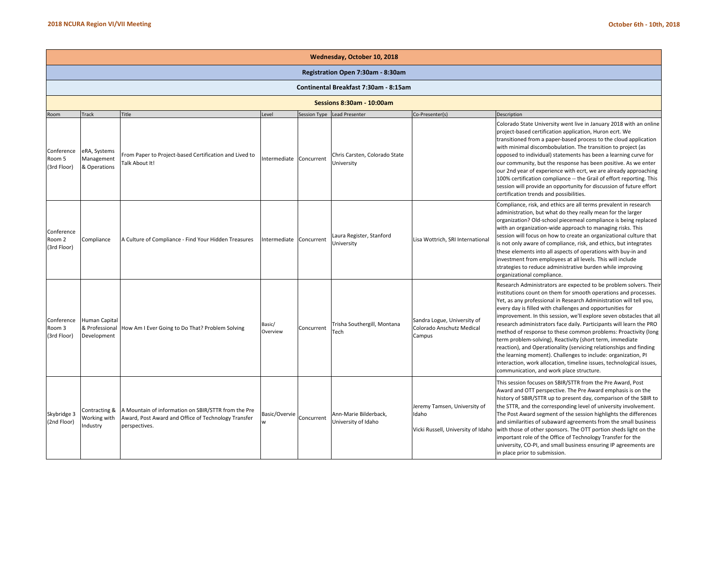|                                     | Wednesday, October 10, 2018                    |                                                                                                                             |                        |              |                                              |                                                                             |                                                                                                                                                                                                                                                                                                                                                                                                                                                                                                                                                                                                                                                                                                                                                                                                                 |  |  |  |  |  |  |
|-------------------------------------|------------------------------------------------|-----------------------------------------------------------------------------------------------------------------------------|------------------------|--------------|----------------------------------------------|-----------------------------------------------------------------------------|-----------------------------------------------------------------------------------------------------------------------------------------------------------------------------------------------------------------------------------------------------------------------------------------------------------------------------------------------------------------------------------------------------------------------------------------------------------------------------------------------------------------------------------------------------------------------------------------------------------------------------------------------------------------------------------------------------------------------------------------------------------------------------------------------------------------|--|--|--|--|--|--|
|                                     | Registration Open 7:30am - 8:30am              |                                                                                                                             |                        |              |                                              |                                                                             |                                                                                                                                                                                                                                                                                                                                                                                                                                                                                                                                                                                                                                                                                                                                                                                                                 |  |  |  |  |  |  |
|                                     |                                                |                                                                                                                             |                        |              | Continental Breakfast 7:30am - 8:15am        |                                                                             |                                                                                                                                                                                                                                                                                                                                                                                                                                                                                                                                                                                                                                                                                                                                                                                                                 |  |  |  |  |  |  |
| <b>Sessions 8:30am - 10:00am</b>    |                                                |                                                                                                                             |                        |              |                                              |                                                                             |                                                                                                                                                                                                                                                                                                                                                                                                                                                                                                                                                                                                                                                                                                                                                                                                                 |  |  |  |  |  |  |
| Room                                | <b>Track</b>                                   | Title                                                                                                                       | Level                  | Session Type | <b>Lead Presenter</b>                        | Co-Presenter(s)                                                             | Description                                                                                                                                                                                                                                                                                                                                                                                                                                                                                                                                                                                                                                                                                                                                                                                                     |  |  |  |  |  |  |
| Conference<br>Room 5<br>(3rd Floor) | eRA, Systems<br>Management<br>& Operations     | From Paper to Project-based Certification and Lived to<br>Talk About It!                                                    | ntermediate Concurrent |              | Chris Carsten, Colorado State<br>University  |                                                                             | Colorado State University went live in January 2018 with an online<br>project-based certification application, Huron ecrt. We<br>transitioned from a paper-based process to the cloud application<br>with minimal discombobulation. The transition to project (as<br>opposed to individual) statements has been a learning curve for<br>our community, but the response has been positive. As we enter<br>our 2nd year of experience with ecrt, we are already approaching<br>100% certification compliance -- the Grail of effort reporting. This<br>session will provide an opportunity for discussion of future effort<br>certification trends and possibilities.                                                                                                                                            |  |  |  |  |  |  |
| Conference<br>Room 2<br>(3rd Floor) | Compliance                                     | A Culture of Compliance - Find Your Hidden Treasures                                                                        | ntermediate            | Concurrent   | Laura Register, Stanford<br>University       | Lisa Wottrich, SRI International                                            | Compliance, risk, and ethics are all terms prevalent in research<br>administration, but what do they really mean for the larger<br>organization? Old-school piecemeal compliance is being replaced<br>with an organization-wide approach to managing risks. This<br>session will focus on how to create an organizational culture that<br>is not only aware of compliance, risk, and ethics, but integrates<br>these elements into all aspects of operations with buy-in and<br>investment from employees at all levels. This will include<br>strategies to reduce administrative burden while improving<br>organizational compliance.                                                                                                                                                                          |  |  |  |  |  |  |
| Conference<br>Room 3<br>(3rd Floor) | Human Capital<br>& Professional<br>Development | How Am I Ever Going to Do That? Problem Solving                                                                             | Basic/<br>Overview     | Concurrent   | Trisha Southergill, Montana<br>Tech          | Sandra Logue, University of<br>Colorado Anschutz Medical<br>Campus          | Research Administrators are expected to be problem solvers. Their<br>institutions count on them for smooth operations and processes.<br>Yet, as any professional in Research Administration will tell you,<br>every day is filled with challenges and opportunities for<br>improvement. In this session, we'll explore seven obstacles that all<br>research administrators face daily. Participants will learn the PRO<br>method of response to these common problems: Proactivity (long<br>term problem-solving), Reactivity (short term, immediate<br>reaction), and Operationality (servicing relationships and finding<br>the learning moment). Challenges to include: organization, PI<br>interaction, work allocation, timeline issues, technological issues,<br>communication, and work place structure. |  |  |  |  |  |  |
| Skybridge 3<br>(2nd Floor)          | Contracting &<br>Working with<br>industry      | A Mountain of information on SBIR/STTR from the Pre<br>Award, Post Award and Office of Technology Transfer<br>perspectives. | Basic/Overvie<br>w     | Concurrent   | Ann-Marie Bilderback,<br>University of Idaho | Jeremy Tamsen, University of<br>Idaho<br>Vicki Russell, University of Idaho | This session focuses on SBIR/STTR from the Pre Award, Post<br>Award and OTT perspective. The Pre Award emphasis is on the<br>history of SBIR/STTR up to present day, comparison of the SBIR to<br>the STTR, and the corresponding level of university involvement.<br>The Post Award segment of the session highlights the differences<br>and similarities of subaward agreements from the small business<br>with those of other sponsors. The OTT portion sheds light on the<br>important role of the Office of Technology Transfer for the<br>university, CO-PI, and small business ensuring IP agreements are<br>in place prior to submission.                                                                                                                                                               |  |  |  |  |  |  |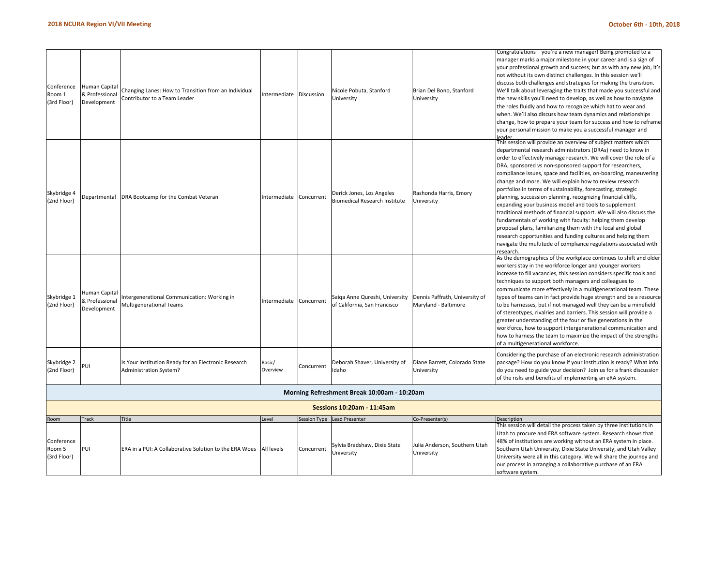| Conference<br>Room 1<br>(3rd Floor) | Human Capital<br>& Professional<br>Development | Changing Lanes: How to Transition from an Individual<br>Contributor to a Team Leader | Intermediate Discussion |              | Nicole Pobuta, Stanford<br>University                             | Brian Del Bono, Stanford<br>University                 | Congratulations - you're a new manager! Being promoted to a<br>manager marks a major milestone in your career and is a sign of<br>your professional growth and success; but as with any new job, it's<br>not without its own distinct challenges. In this session we'll<br>discuss both challenges and strategies for making the transition.<br>We'll talk about leveraging the traits that made you successful and<br>the new skills you'll need to develop, as well as how to navigate<br>the roles fluidly and how to recognize which hat to wear and<br>when. We'll also discuss how team dynamics and relationships<br>change, how to prepare your team for success and how to reframe<br>your personal mission to make you a successful manager and                                                                                                                                                                                    |
|-------------------------------------|------------------------------------------------|--------------------------------------------------------------------------------------|-------------------------|--------------|-------------------------------------------------------------------|--------------------------------------------------------|----------------------------------------------------------------------------------------------------------------------------------------------------------------------------------------------------------------------------------------------------------------------------------------------------------------------------------------------------------------------------------------------------------------------------------------------------------------------------------------------------------------------------------------------------------------------------------------------------------------------------------------------------------------------------------------------------------------------------------------------------------------------------------------------------------------------------------------------------------------------------------------------------------------------------------------------|
| Skybridge 4<br>(2nd Floor)          | <b>Departmental</b>                            | DRA Bootcamp for the Combat Veteran                                                  | Intermediate            | Concurrent   | Derick Jones, Los Angeles<br><b>Biomedical Research Institute</b> | Rashonda Harris, Emory<br>University                   | This session will provide an overview of subject matters which<br>departmental research administrators (DRAs) need to know in<br>order to effectively manage research. We will cover the role of a<br>DRA, sponsored vs non-sponsored support for researchers,<br>compliance issues, space and facilities, on-boarding, maneuvering<br>change and more. We will explain how to review research<br>portfolios in terms of sustainability, forecasting, strategic<br>planning, succession planning, recognizing financial cliffs,<br>expanding your business model and tools to supplement<br>traditional methods of financial support. We will also discuss the<br>fundamentals of working with faculty: helping them develop<br>proposal plans, familiarizing them with the local and global<br>research opportunities and funding cultures and helping them<br>navigate the multitude of compliance regulations associated with<br>research |
| Skybridge 1<br>(2nd Floor)          | Human Capital<br>Professional<br>Development   | ntergenerational Communication: Working in<br>Multigenerational Teams                | Intermediate Concurrent |              | Saiga Anne Qureshi, University<br>of California, San Francisco    | Dennis Paffrath, University of<br>Maryland - Baltimore | As the demographics of the workplace continues to shift and older<br>workers stay in the workforce longer and younger workers<br>increase to fill vacancies, this session considers specific tools and<br>techniques to support both managers and colleagues to<br>communicate more effectively in a multigenerational team. These<br>types of teams can in fact provide huge strength and be a resource<br>to be harnesses, but if not managed well they can be a minefield<br>of stereotypes, rivalries and barriers. This session will provide a<br>greater understanding of the four or five generations in the<br>workforce, how to support intergenerational communication and<br>how to harness the team to maximize the impact of the strengths<br>of a multigenerational workforce.                                                                                                                                                 |
| Skybridge 2<br>(2nd Floor)          | 'UΙ                                            | Is Your Institution Ready for an Electronic Research<br>Administration System?       | Basic/<br>Overview      | Concurrent   | Deborah Shaver, University of<br>Idaho                            | Diane Barrett, Colorado State<br>University            | Considering the purchase of an electronic research administration<br>package? How do you know if your institution is ready? What info<br>do you need to guide your decision? Join us for a frank discussion<br>of the risks and benefits of implementing an eRA system.                                                                                                                                                                                                                                                                                                                                                                                                                                                                                                                                                                                                                                                                      |
|                                     |                                                |                                                                                      |                         |              | Morning Refreshment Break 10:00am - 10:20am                       |                                                        |                                                                                                                                                                                                                                                                                                                                                                                                                                                                                                                                                                                                                                                                                                                                                                                                                                                                                                                                              |
|                                     |                                                |                                                                                      |                         |              | Sessions 10:20am - 11:45am                                        |                                                        |                                                                                                                                                                                                                                                                                                                                                                                                                                                                                                                                                                                                                                                                                                                                                                                                                                                                                                                                              |
| Room                                | <b>Track</b>                                   | Title                                                                                | Level                   | Session Type | Lead Presenter                                                    | Co-Presenter(s)                                        | Description                                                                                                                                                                                                                                                                                                                                                                                                                                                                                                                                                                                                                                                                                                                                                                                                                                                                                                                                  |
| Conference<br>Room 5<br>(3rd Floor) | PUI                                            | ERA in a PUI: A Collaborative Solution to the ERA Woes                               | <b>All levels</b>       | Concurrent   | Sylvia Bradshaw, Dixie State<br>University                        | Julia Anderson, Southern Utah<br>University            | This session will detail the process taken by three institutions in<br>Utah to procure and ERA software system. Research shows that<br>48% of institutions are working without an ERA system in place.<br>Southern Utah University, Dixie State University, and Utah Valley<br>University were all in this category. We will share the journey and<br>our process in arranging a collaborative purchase of an ERA<br>software system.                                                                                                                                                                                                                                                                                                                                                                                                                                                                                                        |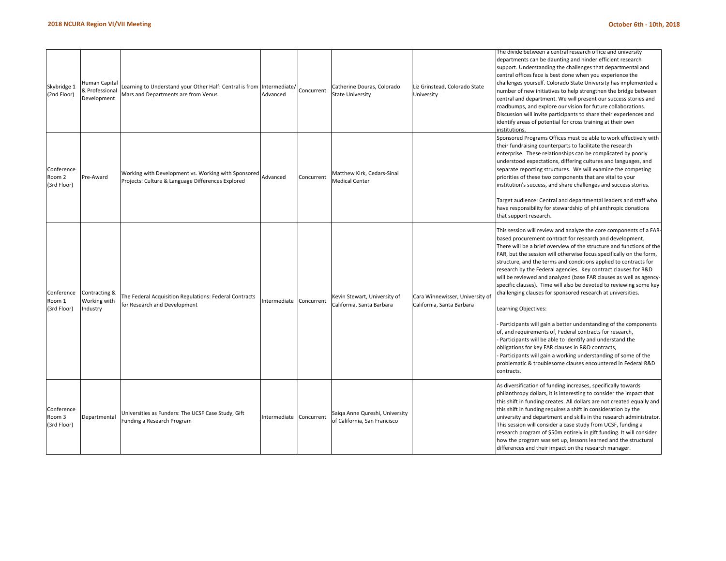| Skybridge 1<br>(2nd Floor)          | Human Capital<br>& Professional<br>Development | Learning to Understand your Other Half: Central is from Intermediate/<br>Mars and Departments are from Venus | Advanced               | Concurrent | Catherine Douras, Colorado<br><b>State University</b>          | Liz Grinstead, Colorado State<br>University                  | The divide between a central research office and university<br>departments can be daunting and hinder efficient research<br>support. Understanding the challenges that departmental and<br>central offices face is best done when you experience the<br>challenges yourself. Colorado State University has implemented a<br>number of new initiatives to help strengthen the bridge between<br>central and department. We will present our success stories and<br>roadbumps, and explore our vision for future collaborations.<br>Discussion will invite participants to share their experiences and<br>identify areas of potential for cross training at their own<br>nstitutions.                                                                                                                                                                                                                                                                                                                                                                   |
|-------------------------------------|------------------------------------------------|--------------------------------------------------------------------------------------------------------------|------------------------|------------|----------------------------------------------------------------|--------------------------------------------------------------|-------------------------------------------------------------------------------------------------------------------------------------------------------------------------------------------------------------------------------------------------------------------------------------------------------------------------------------------------------------------------------------------------------------------------------------------------------------------------------------------------------------------------------------------------------------------------------------------------------------------------------------------------------------------------------------------------------------------------------------------------------------------------------------------------------------------------------------------------------------------------------------------------------------------------------------------------------------------------------------------------------------------------------------------------------|
| Conference<br>Room 2<br>(3rd Floor) | Pre-Award                                      | Working with Development vs. Working with Sponsored<br>Projects: Culture & Language Differences Explored     | Advanced               | Concurrent | Matthew Kirk, Cedars-Sinai<br><b>Medical Center</b>            |                                                              | Sponsored Programs Offices must be able to work effectively with<br>their fundraising counterparts to facilitate the research<br>enterprise. These relationships can be complicated by poorly<br>understood expectations, differing cultures and languages, and<br>separate reporting structures. We will examine the competing<br>priorities of these two components that are vital to your<br>institution's success, and share challenges and success stories.<br>Target audience: Central and departmental leaders and staff who<br>have responsibility for stewardship of philanthropic donations<br>that support research.                                                                                                                                                                                                                                                                                                                                                                                                                       |
| Conference<br>Room 1<br>(3rd Floor) | Contracting &<br>Working with<br>Industry      | The Federal Acquisition Regulations: Federal Contracts<br>for Research and Development                       | ntermediate Concurrent |            | Kevin Stewart, University of<br>California, Santa Barbara      | Cara Winnewisser, University of<br>California, Santa Barbara | This session will review and analyze the core components of a FAR-<br>based procurement contract for research and development.<br>There will be a brief overview of the structure and functions of the<br>FAR, but the session will otherwise focus specifically on the form,<br>structure, and the terms and conditions applied to contracts for<br>research by the Federal agencies. Key contract clauses for R&D<br>will be reviewed and analyzed (base FAR clauses as well as agency-<br>specific clauses). Time will also be devoted to reviewing some key<br>challenging clauses for sponsored research at universities.<br>Learning Objectives:<br>Participants will gain a better understanding of the components<br>of, and requirements of, Federal contracts for research,<br>Participants will be able to identify and understand the<br>obligations for key FAR clauses in R&D contracts,<br>Participants will gain a working understanding of some of the<br>problematic & troublesome clauses encountered in Federal R&D<br>contracts. |
| Conference<br>Room 3<br>(3rd Floor) | Departmental                                   | Jniversities as Funders: The UCSF Case Study, Gift<br>Funding a Research Program                             | ntermediate            | Concurrent | Saiga Anne Qureshi, University<br>of California, San Francisco |                                                              | As diversification of funding increases, specifically towards<br>philanthropy dollars, it is interesting to consider the impact that<br>this shift in funding creates. All dollars are not created equally and<br>this shift in funding requires a shift in consideration by the<br>university and department and skills in the research administrator.<br>This session will consider a case study from UCSF, funding a<br>research program of \$50m entirely in gift funding. It will consider<br>how the program was set up, lessons learned and the structural<br>differences and their impact on the research manager.                                                                                                                                                                                                                                                                                                                                                                                                                            |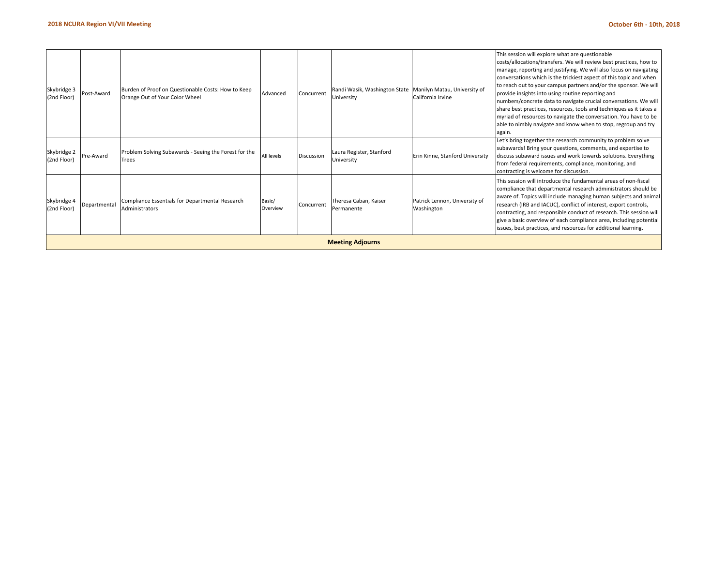|                            |              |                                                                                      |                    |                   | <b>Meeting Adjourns</b>                                                  |                                             | issues, best practices, and resources for additional learning.                                                                                                                                                                                                                                                                                                                                                                                                                                                                                                                                                                                                                        |
|----------------------------|--------------|--------------------------------------------------------------------------------------|--------------------|-------------------|--------------------------------------------------------------------------|---------------------------------------------|---------------------------------------------------------------------------------------------------------------------------------------------------------------------------------------------------------------------------------------------------------------------------------------------------------------------------------------------------------------------------------------------------------------------------------------------------------------------------------------------------------------------------------------------------------------------------------------------------------------------------------------------------------------------------------------|
| Skybridge 4<br>(2nd Floor) | Departmental | Compliance Essentials for Departmental Research<br>Administrators                    | Basic/<br>Overview | Concurrent        | Theresa Caban, Kaiser<br>Permanente                                      | Patrick Lennon, University of<br>Washington | This session will introduce the fundamental areas of non-fiscal<br>compliance that departmental research administrators should be<br>aware of. Topics will include managing human subjects and animal<br>research (IRB and IACUC), conflict of interest, export controls,<br>contracting, and responsible conduct of research. This session will<br>give a basic overview of each compliance area, including potential                                                                                                                                                                                                                                                                |
| Skybridge 2<br>(2nd Floor) | Pre-Award    | Problem Solving Subawards - Seeing the Forest for the<br>Trees                       | All levels         | <b>Discussion</b> | Laura Register, Stanford<br>University                                   | Erin Kinne, Stanford University             | Let's bring together the research community to problem solve<br>subawards! Bring your questions, comments, and expertise to<br>discuss subaward issues and work towards solutions. Everything<br>from federal requirements, compliance, monitoring, and<br>contracting is welcome for discussion.                                                                                                                                                                                                                                                                                                                                                                                     |
| Skybridge 3<br>(2nd Floor) | Post-Award   | Burden of Proof on Questionable Costs: How to Keep<br>Orange Out of Your Color Wheel | Advanced           | Concurrent        | Randi Wasik, Washington State Manilyn Matau, University of<br>University | California Irvine                           | This session will explore what are questionable<br>costs/allocations/transfers. We will review best practices, how to<br>manage, reporting and justifying. We will also focus on navigating<br>conversations which is the trickiest aspect of this topic and when<br>to reach out to your campus partners and/or the sponsor. We will<br>provide insights into using routine reporting and<br>numbers/concrete data to navigate crucial conversations. We will<br>share best practices, resources, tools and techniques as it takes a<br>myriad of resources to navigate the conversation. You have to be<br>able to nimbly navigate and know when to stop, regroup and try<br>again. |